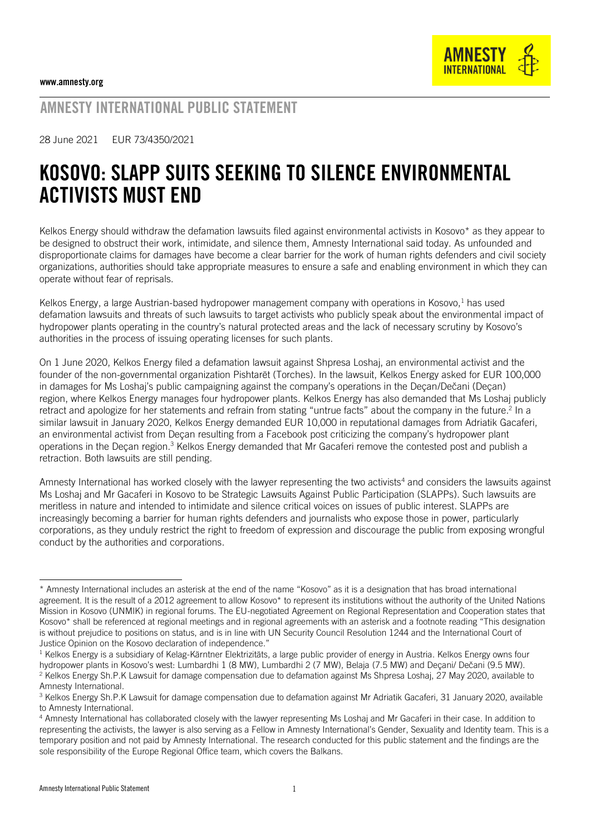

AMNESTY INTERNATIONAL PUBLIC STATEMENT

28 June 2021 EUR 73/4350/2021

# KOSOVO: SLAPP SUITS SEEKING TO SILENCE ENVIRONMENTAL ACTIVISTS MUST END

Kelkos Energy should withdraw the defamation lawsuits filed against environmental activists in Kosovo\* as they appear to be designed to obstruct their work, intimidate, and silence them, Amnesty International said today. As unfounded and disproportionate claims for damages have become a clear barrier for the work of human rights defenders and civil society organizations, authorities should take appropriate measures to ensure a safe and enabling environment in which they can operate without fear of reprisals.

Kelkos Energy, a large Austrian-based hydropower management company with operations in Kosovo,<sup>1</sup> has used defamation lawsuits and threats of such lawsuits to target activists who publicly speak about the environmental impact of hydropower plants operating in the country's natural protected areas and the lack of necessary scrutiny by Kosovo's authorities in the process of issuing operating licenses for such plants.

On 1 June 2020, Kelkos Energy filed a defamation lawsuit against Shpresa Loshaj, an environmental activist and the founder of the non-governmental organization Pishtarët (Torches). In the lawsuit, Kelkos Energy asked for EUR 100,000 in damages for Ms Loshaj's public campaigning against the company's operations in the Deçan/Dečani (Deçan) region, where Kelkos Energy manages four hydropower plants. Kelkos Energy has also demanded that Ms Loshaj publicly retract and apologize for her statements and refrain from stating "untrue facts" about the company in the future.<sup>2</sup> In a similar lawsuit in January 2020, Kelkos Energy demanded EUR 10,000 in reputational damages from Adriatik Gacaferi, an environmental activist from Deçan resulting from a Facebook post criticizing the company's hydropower plant operations in the Deçan region.<sup>3</sup> Kelkos Energy demanded that Mr Gacaferi remove the contested post and publish a retraction. Both lawsuits are still pending.

Amnesty International has worked closely with the lawyer representing the two activists<sup>4</sup> and considers the lawsuits against Ms Loshaj and Mr Gacaferi in Kosovo to be Strategic Lawsuits Against Public Participation (SLAPPs). Such lawsuits are meritless in nature and intended to intimidate and silence critical voices on issues of public interest. SLAPPs are increasingly becoming a barrier for human rights defenders and journalists who expose those in power, particularly corporations, as they unduly restrict the right to freedom of expression and discourage the public from exposing wrongful conduct by the authorities and corporations.

<sup>\*</sup> Amnesty International includes an asterisk at the end of the name "Kosovo" as it is a designation that has broad international agreement. It is the result of a 2012 agreement to allow Kosovo\* to represent its institutions without the authority of the United Nations Mission in Kosovo (UNMIK) in regional forums. The EU-negotiated Agreement on Regional Representation and Cooperation states that Kosovo\* shall be referenced at regional meetings and in regional agreements with an asterisk and a footnote reading "This designation is without prejudice to positions on status, and is in line with UN Security Council Resolution 1244 and the International Court of Justice Opinion on the Kosovo declaration of independence."

 $1$  Kelkos Energy is a subsidiary of Kelag-Kärntner Elektrizitäts, a large public provider of energy in Austria. Kelkos Energy owns four hydropower plants in Kosovo's west: Lumbardhi 1 (8 MW), Lumbardhi 2 (7 MW), Belaja (7.5 MW) and Deçani/ Dečani (9.5 MW). <sup>2</sup> Kelkos Energy Sh.P.K Lawsuit for damage compensation due to defamation against Ms Shpresa Loshaj, 27 May 2020, available to Amnesty International.

<sup>&</sup>lt;sup>3</sup> Kelkos Energy Sh.P.K Lawsuit for damage compensation due to defamation against Mr Adriatik Gacaferi, 31 January 2020, available to Amnesty International.

<sup>4</sup> Amnesty International has collaborated closely with the lawyer representing Ms Loshaj and Mr Gacaferi in their case. In addition to representing the activists, the lawyer is also serving as a Fellow in Amnesty International's Gender, Sexuality and Identity team. This is a temporary position and not paid by Amnesty International. The research conducted for this public statement and the findings are the sole responsibility of the Europe Regional Office team, which covers the Balkans.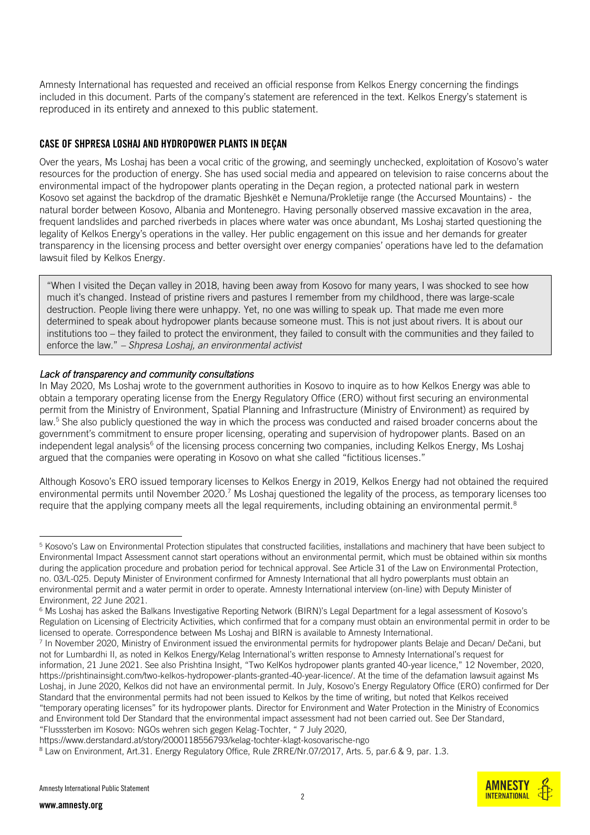Amnesty International has requested and received an official response from Kelkos Energy concerning the findings included in this document. Parts of the company's statement are referenced in the text. Kelkos Energy's statement is reproduced in its entirety and annexed to this public statement.

### CASE OF SHPRESA LOSHAJ AND HYDROPOWER PLANTS IN DEÇAN

Over the years, Ms Loshaj has been a vocal critic of the growing, and seemingly unchecked, exploitation of Kosovo's water resources for the production of energy. She has used social media and appeared on television to raise concerns about the environmental impact of the hydropower plants operating in the Deçan region, a protected national park in western Kosovo set against the backdrop of the dramatic Bjeshkët e Nemuna/Prokletije range (the Accursed Mountains) - the natural border between Kosovo, Albania and Montenegro. Having personally observed massive excavation in the area, frequent landslides and parched riverbeds in places where water was once abundant, Ms Loshaj started questioning the legality of Kelkos Energy's operations in the valley. Her public engagement on this issue and her demands for greater transparency in the licensing process and better oversight over energy companies' operations have led to the defamation lawsuit filed by Kelkos Energy.

"When I visited the Deçan valley in 2018, having been away from Kosovo for many years, I was shocked to see how much it's changed. Instead of pristine rivers and pastures I remember from my childhood, there was large-scale destruction. People living there were unhappy. Yet, no one was willing to speak up. That made me even more determined to speak about hydropower plants because someone must. This is not just about rivers. It is about our institutions too – they failed to protect the environment, they failed to consult with the communities and they failed to enforce the law." *– Shpresa Loshaj, an environmental activist*

#### *Lack of transparency and community consultations*

In May 2020, Ms Loshaj wrote to the government authorities in Kosovo to inquire as to how Kelkos Energy was able to obtain a temporary operating license from the Energy Regulatory Office (ERO) without first securing an environmental permit from the Ministry of Environment, Spatial Planning and Infrastructure (Ministry of Environment) as required by law.<sup>5</sup> She also publicly questioned the way in which the process was conducted and raised broader concerns about the government's commitment to ensure proper licensing, operating and supervision of hydropower plants. Based on an independent legal analysis<sup>6</sup> of the licensing process concerning two companies, including Kelkos Energy, Ms Loshaj argued that the companies were operating in Kosovo on what she called "fictitious licenses."

Although Kosovo's ERO issued temporary licenses to Kelkos Energy in 2019, Kelkos Energy had not obtained the required environmental permits until November 2020.<sup>7</sup> Ms Loshaj questioned the legality of the process, as temporary licenses too require that the applying company meets all the legal requirements, including obtaining an environmental permit.<sup>8</sup>

 $\overline{2}$ 



<sup>&</sup>lt;sup>5</sup> Kosovo's Law on Environmental Protection stipulates that constructed facilities, installations and machinery that have been subject to Environmental Impact Assessment cannot start operations without an environmental permit, which must be obtained within six months during the application procedure and probation period for technical approval. See Article 31 of the Law on Environmental Protection, no. 03/L-025. Deputy Minister of Environment confirmed for Amnesty International that all hydro powerplants must obtain an environmental permit and a water permit in order to operate. Amnesty International interview (on-line) with Deputy Minister of Environment, 22 June 2021.

<sup>&</sup>lt;sup>6</sup> Ms Loshaj has asked the Balkans Investigative Reporting Network (BIRN)'s Legal Department for a legal assessment of Kosovo's Regulation on Licensing of Electricity Activities, which confirmed that for a company must obtain an environmental permit in order to be licensed to operate. Correspondence between Ms Loshaj and BIRN is available to Amnesty International.

<sup>7</sup> In November 2020, Ministry of Environment issued the environmental permits for hydropower plants Belaje and Decan/ Dečani, but not for Lumbardhi II, as noted in Kelkos Energy/Kelag International's written response to Amnesty International's request for information, 21 June 2021. See also Prishtina Insight, "Two KelKos hydropower plants granted 40-year licence," 12 November, 2020, https://prishtinainsight.com/two-kelkos-hydropower-plants-granted-40-year-licence/. At the time of the defamation lawsuit against Ms Loshaj, in June 2020, Kelkos did not have an environmental permit. In July, Kosovo's Energy Regulatory Office (ERO) confirmed for Der Standard that the environmental permits had not been issued to Kelkos by the time of writing, but noted that Kelkos received "temporary operating licenses" for its hydropower plants. Director for Environment and Water Protection in the Ministry of Economics and Environment told Der Standard that the environmental impact assessment had not been carried out. See Der Standard, "Flusssterben im Kosovo: NGOs wehren sich gegen Kelag-Tochter, " 7 July 2020,

https://www.derstandard.at/story/2000118556793/kelag-tochter-klagt-kosovarische-ngo

<sup>8</sup> Law on Environment, Art.31. Energy Regulatory Office, Rule ZRRE/Nr.07/2017, Arts. 5, par.6 & 9, par. 1.3.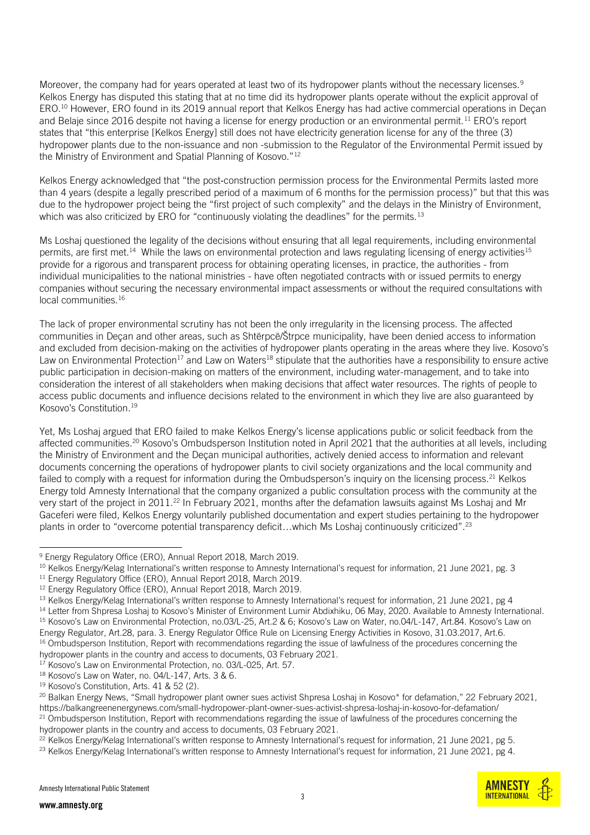Moreover, the company had for years operated at least two of its hydropower plants without the necessary licenses.<sup>9</sup> Kelkos Energy has disputed this stating that at no time did its hydropower plants operate without the explicit approval of ERO. <sup>10</sup> However, ERO found in its 2019 annual report that Kelkos Energy has had active commercial operations in Deçan and Belaje since 2016 despite not having a license for energy production or an environmental permit.<sup>11</sup> ERO's report states that "this enterprise [Kelkos Energy] still does not have electricity generation license for any of the three (3) hydropower plants due to the non-issuance and non -submission to the Regulator of the Environmental Permit issued by the Ministry of Environment and Spatial Planning of Kosovo."<sup>12</sup>

Kelkos Energy acknowledged that "the post-construction permission process for the Environmental Permits lasted more than 4 years (despite a legally prescribed period of a maximum of 6 months for the permission process)" but that this was due to the hydropower project being the "first project of such complexity" and the delays in the Ministry of Environment, which was also criticized by ERO for "continuously violating the deadlines" for the permits.<sup>13</sup>

Ms Loshaj questioned the legality of the decisions without ensuring that all legal requirements, including environmental permits, are first met.<sup>14</sup> While the laws on environmental protection and laws regulating licensing of energy activities<sup>15</sup> provide for a rigorous and transparent process for obtaining operating licenses, in practice, the authorities - from individual municipalities to the national ministries - have often negotiated contracts with or issued permits to energy companies without securing the necessary environmental impact assessments or without the required consultations with local communities.<sup>16</sup>

The lack of proper environmental scrutiny has not been the only irregularity in the licensing process. The affected communities in Deçan and other areas, such as Shtërpcë/Štrpce municipality, have been denied access to information and excluded from decision-making on the activities of hydropower plants operating in the areas where they live. Kosovo's Law on Environmental Protection<sup>17</sup> and Law on Waters<sup>18</sup> stipulate that the authorities have a responsibility to ensure active public participation in decision-making on matters of the environment, including water-management, and to take into consideration the interest of all stakeholders when making decisions that affect water resources. The rights of people to access public documents and influence decisions related to the environment in which they live are also guaranteed by Kosovo's Constitution.<sup>19</sup>

Yet, Ms Loshaj argued that ERO failed to make Kelkos Energy's license applications public or solicit feedback from the affected communities.<sup>20</sup> Kosovo's Ombudsperson Institution noted in April 2021 that the authorities at all levels, including the Ministry of Environment and the Deçan municipal authorities, actively denied access to information and relevant documents concerning the operations of hydropower plants to civil society organizations and the local community and failed to comply with a request for information during the Ombudsperson's inquiry on the licensing process.<sup>21</sup> Kelkos Energy told Amnesty International that the company organized a public consultation process with the community at the very start of the project in 2011.<sup>22</sup> In February 2021, months after the defamation lawsuits against Ms Loshaj and Mr Gaceferi were filed, Kelkos Energy voluntarily published documentation and expert studies pertaining to the hydropower plants in order to "overcome potential transparency deficit…which Ms Loshaj continuously criticized". 23



<sup>&</sup>lt;sup>9</sup> Energy Regulatory Office (ERO), Annual Report 2018, March 2019.

<sup>&</sup>lt;sup>10</sup> Kelkos Energy/Kelag International's written response to Amnesty International's request for information, 21 June 2021, pg. 3

<sup>&</sup>lt;sup>11</sup> Energy Regulatory Office (ERO), Annual Report 2018, March 2019.

<sup>&</sup>lt;sup>12</sup> Energy Regulatory Office (ERO), Annual Report 2018, March 2019.

<sup>&</sup>lt;sup>13</sup> Kelkos Energy/Kelag International's written response to Amnesty International's request for information, 21 June 2021, pg 4

<sup>&</sup>lt;sup>14</sup> Letter from Shpresa Loshaj to Kosovo's Minister of Environment Lumir Abdixhiku, 06 May, 2020. Available to Amnesty International.

<sup>15</sup> Kosovo's Law on Environmental Protection, no.03/L-25, Art.2 & 6; Kosovo's Law on Water, no.04/L-147, Art.84. Kosovo's Law on Energy Regulator, Art.28, para. 3. Energy Regulator Office Rule on Licensing Energy Activities in Kosovo, 31.03.2017, Art.6. <sup>16</sup> Ombudsperson Institution, Report with recommendations regarding the issue of lawfulness of the procedures concerning the

hydropower plants in the country and access to documents, 03 February 2021.

<sup>17</sup> Kosovo's Law on Environmental Protection, no. 03/L-025, Art. 57.

<sup>18</sup> Kosovo's Law on Water, no. 04/L-147, Arts. 3 & 6.

<sup>&</sup>lt;sup>19</sup> Kosovo's Constitution, Arts. 41 & 52 (2).

<sup>&</sup>lt;sup>20</sup> Balkan Energy News, "Small hydropower plant owner sues activist Shpresa Loshaj in Kosovo\* for defamation," 22 February 2021, https://balkangreenenergynews.com/small-hydropower-plant-owner-sues-activist-shpresa-loshaj-in-kosovo-for-defamation/  $21$  Ombudsperson Institution, Report with recommendations regarding the issue of lawfulness of the procedures concerning the

hydropower plants in the country and access to documents, 03 February 2021.

 $^{22}$  Kelkos Energy/Kelag International's written response to Amnesty International's request for information, 21 June 2021, pg 5.

<sup>&</sup>lt;sup>23</sup> Kelkos Energy/Kelag International's written response to Amnesty International's request for information, 21 June 2021, pg 4.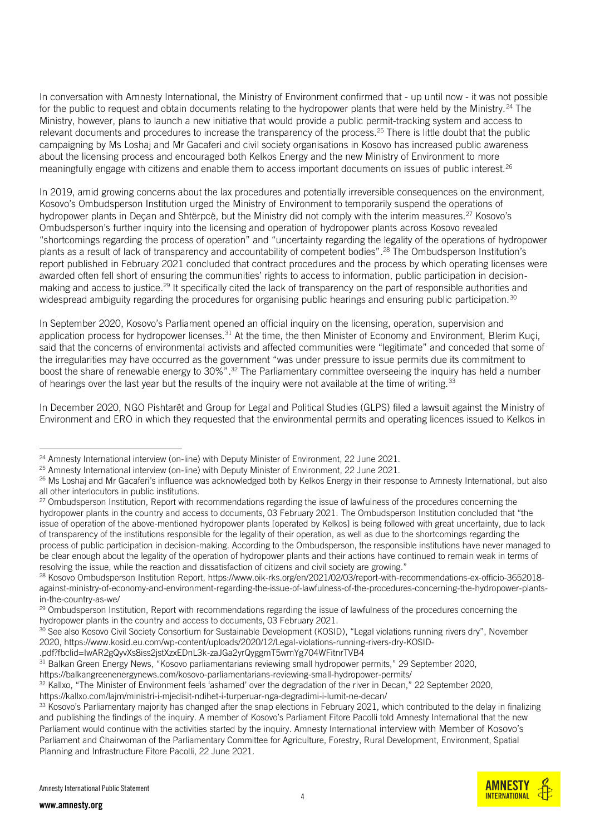In conversation with Amnesty International, the Ministry of Environment confirmed that - up until now - it was not possible for the public to request and obtain documents relating to the hydropower plants that were held by the Ministry.<sup>24</sup> The Ministry, however, plans to launch a new initiative that would provide a public permit-tracking system and access to relevant documents and procedures to increase the transparency of the process.<sup>25</sup> There is little doubt that the public campaigning by Ms Loshaj and Mr Gacaferi and civil society organisations in Kosovo has increased public awareness about the licensing process and encouraged both Kelkos Energy and the new Ministry of Environment to more meaningfully engage with citizens and enable them to access important documents on issues of public interest.<sup>26</sup>

In 2019, amid growing concerns about the lax procedures and potentially irreversible consequences on the environment, Kosovo's Ombudsperson Institution urged the Ministry of Environment to temporarily suspend the operations of hydropower plants in Deçan and Shtërpcë, but the Ministry did not comply with the interim measures.<sup>27</sup> Kosovo's Ombudsperson's further inquiry into the licensing and operation of hydropower plants across Kosovo revealed "shortcomings regarding the process of operation" and "uncertainty regarding the legality of the operations of hydropower plants as a result of lack of transparency and accountability of competent bodies". <sup>28</sup> The Ombudsperson Institution's report published in February 2021 concluded that contract procedures and the process by which operating licenses were awarded often fell short of ensuring the communities' rights to access to information, public participation in decisionmaking and access to justice.<sup>29</sup> It specifically cited the lack of transparency on the part of responsible authorities and widespread ambiguity regarding the procedures for organising public hearings and ensuring public participation.<sup>30</sup>

In September 2020, Kosovo's Parliament opened an official inquiry on the licensing, operation, supervision and application process for hydropower licenses.<sup>31</sup> At the time, the then Minister of Economy and Environment, Blerim Kuçi, said that the concerns of environmental activists and affected communities were "legitimate" and conceded that some of the irregularities may have occurred as the government "was under pressure to issue permits due its commitment to boost the share of renewable energy to 30%". <sup>32</sup> The Parliamentary committee overseeing the inquiry has held a number of hearings over the last year but the results of the inquiry were not available at the time of writing.<sup>33</sup>

In December 2020, NGO Pishtarët and Group for Legal and Political Studies (GLPS) filed a lawsuit against the Ministry of Environment and ERO in which they requested that the environmental permits and operating licences issued to Kelkos in

.pdf?fbclid=IwAR2gQyvXs8iss2jstXzxEDnL3k-zaJGa2yrQyggmT5wmYg704WFitnrTVB4

https://balkangreenenergynews.com/kosovo-parliamentarians-reviewing-small-hydropower-permits/

<sup>32</sup> Kallxo, "The Minister of Environment feels 'ashamed' over the degradation of the river in Decan," 22 September 2020, <https://kallxo.com/lajm/ministri-i-mjedisit-ndihet-i-turperuar-nga-degradimi-i-lumit-ne-decan/>

**AMNEST INTERNATIONAL** 

<sup>&</sup>lt;sup>24</sup> Amnesty International interview (on-line) with Deputy Minister of Environment, 22 June 2021.

<sup>&</sup>lt;sup>25</sup> Amnesty International interview (on-line) with Deputy Minister of Environment, 22 June 2021.

<sup>&</sup>lt;sup>26</sup> Ms Loshaj and Mr Gacaferi's influence was acknowledged both by Kelkos Energy in their response to Amnesty International, but also all other interlocutors in public institutions.

<sup>&</sup>lt;sup>27</sup> Ombudsperson Institution, Report with recommendations regarding the issue of lawfulness of the procedures concerning the hydropower plants in the country and access to documents, 03 February 2021. The Ombudsperson Institution concluded that "the issue of operation of the above-mentioned hydropower plants [operated by Kelkos] is being followed with great uncertainty, due to lack of transparency of the institutions responsible for the legality of their operation, as well as due to the shortcomings regarding the process of public participation in decision-making. According to the Ombudsperson, the responsible institutions have never managed to be clear enough about the legality of the operation of hydropower plants and their actions have continued to remain weak in terms of resolving the issue, while the reaction and dissatisfaction of citizens and civil society are growing."

<sup>&</sup>lt;sup>28</sup> Kosovo Ombudsperson Institution Report, https://www.oik-rks.org/en/2021/02/03/report-with-recommendations-ex-officio-3652018against-ministry-of-economy-and-environment-regarding-the-issue-of-lawfulness-of-the-procedures-concerning-the-hydropower-plantsin-the-country-as-we/

<sup>&</sup>lt;sup>29</sup> Ombudsperson Institution, Report with recommendations regarding the issue of lawfulness of the procedures concerning the hydropower plants in the country and access to documents, 03 February 2021.

<sup>&</sup>lt;sup>30</sup> See also Kosovo Civil Society Consortium for Sustainable Development (KOSID), "Legal violations running rivers dry", November 2020, https://www.kosid.eu.com/wp-content/uploads/2020/12/Legal-violations-running-rivers-dry-KOSID-

<sup>31</sup> Balkan Green Energy News, "Kosovo parliamentarians reviewing small hydropower permits," 29 September 2020,

<sup>&</sup>lt;sup>33</sup> Kosovo's Parliamentary majority has changed after the snap elections in February 2021, which contributed to the delay in finalizing and publishing the findings of the inquiry. A member of Kosovo's Parliament Fitore Pacolli told Amnesty International that the new Parliament would continue with the activities started by the inquiry. Amnesty International interview with Member of Kosovo's Parliament and Chairwoman of the Parliamentary Committee for Agriculture, Forestry, Rural Development, Environment, Spatial Planning and Infrastructure Fitore Pacolli, 22 June 2021.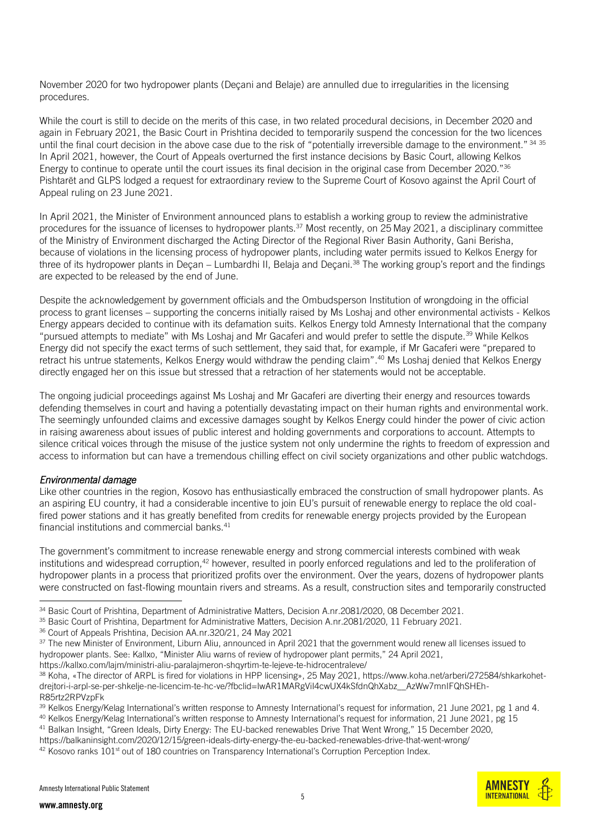November 2020 for two hydropower plants (Deçani and Belaje) are annulled due to irregularities in the licensing procedures.

While the court is still to decide on the merits of this case, in two related procedural decisions, in December 2020 and again in February 2021, the Basic Court in Prishtina decided to temporarily suspend the concession for the two licences until the final court decision in the above case due to the risk of "potentially irreversible damage to the environment." 34 35 In April 2021, however, the Court of Appeals overturned the first instance decisions by Basic Court, allowing Kelkos Energy to continue to operate until the court issues its final decision in the original case from December 2020."<sup>36</sup> Pishtarët and GLPS lodged a request for extraordinary review to the Supreme Court of Kosovo against the April Court of Appeal ruling on 23 June 2021.

In April 2021, the Minister of Environment announced plans to establish a working group to review the administrative procedures for the issuance of licenses to hydropower plants.<sup>37</sup> Most recently, on 25 May 2021, a disciplinary committee of the Ministry of Environment discharged the Acting Director of the Regional River Basin Authority, Gani Berisha, because of violations in the licensing process of hydropower plants, including water permits issued to Kelkos Energy for three of its hydropower plants in Decan – Lumbardhi II, Belaja and Decani.<sup>38</sup> The working group's report and the findings are expected to be released by the end of June.

Despite the acknowledgement by government officials and the Ombudsperson Institution of wrongdoing in the official process to grant licenses – supporting the concerns initially raised by Ms Loshaj and other environmental activists - Kelkos Energy appears decided to continue with its defamation suits. Kelkos Energy told Amnesty International that the company "pursued attempts to mediate" with Ms Loshaj and Mr Gacaferi and would prefer to settle the dispute.<sup>39</sup> While Kelkos Energy did not specify the exact terms of such settlement, they said that, for example, if Mr Gacaferi were "prepared to retract his untrue statements, Kelkos Energy would withdraw the pending claim". <sup>40</sup> Ms Loshaj denied that Kelkos Energy directly engaged her on this issue but stressed that a retraction of her statements would not be acceptable.

The ongoing judicial proceedings against Ms Loshaj and Mr Gacaferi are diverting their energy and resources towards defending themselves in court and having a potentially devastating impact on their human rights and environmental work. The seemingly unfounded claims and excessive damages sought by Kelkos Energy could hinder the power of civic action in raising awareness about issues of public interest and holding governments and corporations to account. Attempts to silence critical voices through the misuse of the justice system not only undermine the rights to freedom of expression and access to information but can have a tremendous chilling effect on civil society organizations and other public watchdogs.

#### *Environmental damage*

Like other countries in the region, Kosovo has enthusiastically embraced the construction of small hydropower plants. As an aspiring EU country, it had a considerable incentive to join EU's pursuit of renewable energy to replace the old coalfired power stations and it has greatly benefited from credits for renewable energy projects provided by the European financial institutions and commercial banks. $41$ 

The government's commitment to increase renewable energy and strong commercial interests combined with weak institutions and widespread corruption,<sup>42</sup> however, resulted in poorly enforced regulations and led to the proliferation of hydropower plants in a process that prioritized profits over the environment. Over the years, dozens of hydropower plants were constructed on fast-flowing mountain rivers and streams. As a result, construction sites and temporarily constructed



<sup>&</sup>lt;sup>34</sup> Basic Court of Prishtina, Department of Administrative Matters, Decision A.nr.2081/2020, 08 December 2021.

<sup>&</sup>lt;sup>35</sup> Basic Court of Prishtina, Department for Administrative Matters, Decision A.nr.2081/2020, 11 February 2021.

<sup>&</sup>lt;sup>36</sup> Court of Appeals Prishtina, Decision AA.nr.320/21, 24 May 2021

<sup>&</sup>lt;sup>37</sup> The new Minister of Environment, Liburn Aliu, announced in April 2021 that the government would renew all licenses issued to hydropower plants. See: Kallxo, "Minister Aliu warns of review of hydropower plant permits," 24 April 2021,

https://kallxo.com/lajm/ministri-aliu-paralajmeron-shqyrtim-te-lejeve-te-hidrocentraleve/

<sup>38</sup> Koha, «The director of ARPL is fired for violations in HPP licensing», 25 May 2021, https://www.koha.net/arberi/272584/shkarkohetdrejtori-i-arpl-se-per-shkelje-ne-licencim-te-hc-ve/?fbclid=IwAR1MARgViI4cwUX4kSfdnQhXabz\_\_AzWw7mnIFQhSHEh-R85rtz2RPVzpFk

<sup>&</sup>lt;sup>39</sup> Kelkos Energy/Kelag International's written response to Amnesty International's request for information, 21 June 2021, pg 1 and 4.

<sup>40</sup> Kelkos Energy/Kelag International's written response to Amnesty International's request for information, 21 June 2021, pg 15

<sup>41</sup> Balkan Insight, "Green Ideals, Dirty Energy: The EU-backed renewables Drive That Went Wrong," 15 December 2020,

https://balkaninsight.com/2020/12/15/green-ideals-dirty-energy-the-eu-backed-renewables-drive-that-went-wrong/

 $42$  Kosovo ranks 101<sup>st</sup> out of 180 countries on Transparency International's Corruption Perception Index.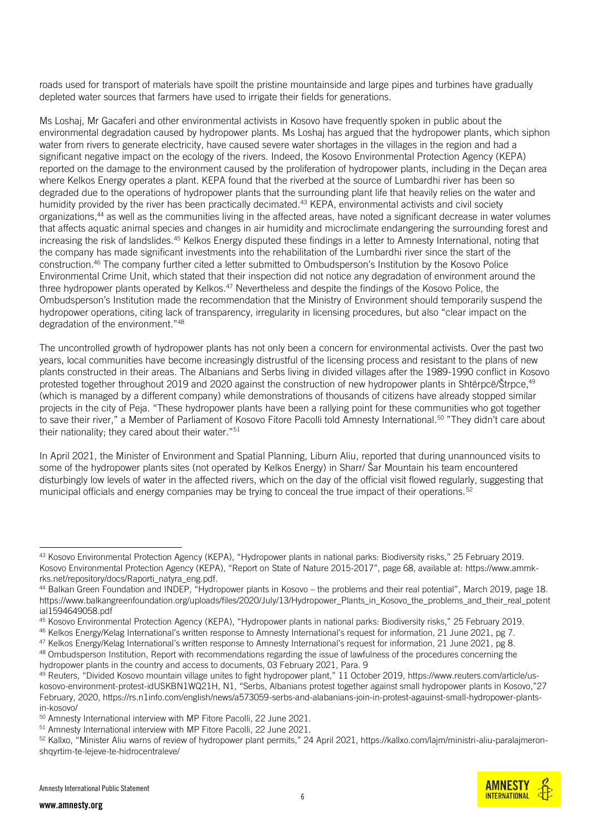roads used for transport of materials have spoilt the pristine mountainside and large pipes and turbines have gradually depleted water sources that farmers have used to irrigate their fields for generations.

Ms Loshaj, Mr Gacaferi and other environmental activists in Kosovo have frequently spoken in public about the environmental degradation caused by hydropower plants. Ms Loshaj has argued that the hydropower plants, which siphon water from rivers to generate electricity, have caused severe water shortages in the villages in the region and had a significant negative impact on the ecology of the rivers. Indeed, the Kosovo Environmental Protection Agency (KEPA) reported on the damage to the environment caused by the proliferation of hydropower plants, including in the Deçan area where Kelkos Energy operates a plant. KEPA found that the riverbed at the source of Lumbardhi river has been so degraded due to the operations of hydropower plants that the surrounding plant life that heavily relies on the water and humidity provided by the river has been practically decimated.<sup>43</sup> KEPA, environmental activists and civil society organizations, <sup>44</sup> as well as the communities living in the affected areas, have noted a significant decrease in water volumes that affects aquatic animal species and changes in air humidity and microclimate endangering the surrounding forest and increasing the risk of landslides.<sup>45</sup> Kelkos Energy disputed these findings in a letter to Amnesty International, noting that the company has made significant investments into the rehabilitation of the Lumbardhi river since the start of the construction.<sup>46</sup> The company further cited a letter submitted to Ombudsperson's Institution by the Kosovo Police Environmental Crime Unit, which stated that their inspection did not notice any degradation of environment around the three hydropower plants operated by Kelkos.<sup>47</sup> Nevertheless and despite the findings of the Kosovo Police, the Ombudsperson's Institution made the recommendation that the Ministry of Environment should temporarily suspend the hydropower operations, citing lack of transparency, irregularity in licensing procedures, but also "clear impact on the degradation of the environment."<sup>48</sup>

The uncontrolled growth of hydropower plants has not only been a concern for environmental activists. Over the past two years, local communities have become increasingly distrustful of the licensing process and resistant to the plans of new plants constructed in their areas. The Albanians and Serbs living in divided villages after the 1989-1990 conflict in Kosovo protested together throughout 2019 and 2020 against the construction of new hydropower plants in Shtërpcë/Štrpce, 49 (which is managed by a different company) while demonstrations of thousands of citizens have already stopped similar projects in the city of Peja. "These hydropower plants have been a rallying point for these communities who got together to save their river," a Member of Parliament of Kosovo Fitore Pacolli told Amnesty International.<sup>50</sup> "They didn't care about their nationality; they cared about their water."<sup>51</sup>

In April 2021, the Minister of Environment and Spatial Planning, Liburn Aliu, reported that during unannounced visits to some of the hydropower plants sites (not operated by Kelkos Energy) in Sharr/ Šar Mountain his team encountered disturbingly low levels of water in the affected rivers, which on the day of the official visit flowed regularly, suggesting that municipal officials and energy companies may be trying to conceal the true impact of their operations.<sup>52</sup>



<sup>43</sup> Kosovo Environmental Protection Agency (KEPA), "Hydropower plants in national parks: Biodiversity risks," 25 February 2019. Kosovo Environmental Protection Agency (KEPA), "Report on State of Nature 2015-2017", page 68, available at: [https://www.ammk](https://www.ammk-rks.net/repository/docs/Raporti_natyra_eng.pdf)[rks.net/repository/docs/Raporti\\_natyra\\_eng.pdf.](https://www.ammk-rks.net/repository/docs/Raporti_natyra_eng.pdf)

<sup>44</sup> Balkan Green Foundation and INDEP, "Hydropower plants in Kosovo – the problems and their real potential", March 2019, page 18. https://www.balkangreenfoundation.org/uploads/files/2020/July/13/Hydropower\_Plants\_in\_Kosovo\_the\_problems\_and\_their\_real\_potent ial1594649058.pdf

<sup>45</sup> Kosovo Environmental Protection Agency (KEPA), "Hydropower plants in national parks: Biodiversity risks," 25 February 2019.

<sup>46</sup> Kelkos Energy/Kelag International's written response to Amnesty International's request for information, 21 June 2021, pg 7.

<sup>&</sup>lt;sup>47</sup> Kelkos Energy/Kelag International's written response to Amnesty International's request for information, 21 June 2021, pg 8.

<sup>&</sup>lt;sup>48</sup> Ombudsperson Institution, Report with recommendations regarding the issue of lawfulness of the procedures concerning the hydropower plants in the country and access to documents, 03 February 2021, Para. 9

<sup>49</sup> Reuters, "Divided Kosovo mountain village unites to fight hydropower plant," 11 October 2019, [https://www.reuters.com/article/us](https://www.reuters.com/article/us-kosovo-environment-protest-idUSKBN1WQ21H)[kosovo-environment-protest-idUSKBN1WQ21H](https://www.reuters.com/article/us-kosovo-environment-protest-idUSKBN1WQ21H), N1, "Serbs, Albanians protest together against small hydropower plants in Kosovo,"27 February, 2020, https://rs.n1info.com/english/news/a573059-serbs-and-alabanians-join-in-protest-agauinst-small-hydropower-plantsin-kosovo/

<sup>50</sup> Amnesty International interview with MP Fitore Pacolli, 22 June 2021.

<sup>51</sup> Amnesty International interview with MP Fitore Pacolli, 22 June 2021.

<sup>&</sup>lt;sup>52</sup> Kallxo, "Minister Aliu warns of review of hydropower plant permits," 24 April 2021, https://kallxo.com/lajm/ministri-aliu-paralajmeronshqyrtim-te-lejeve-te-hidrocentraleve/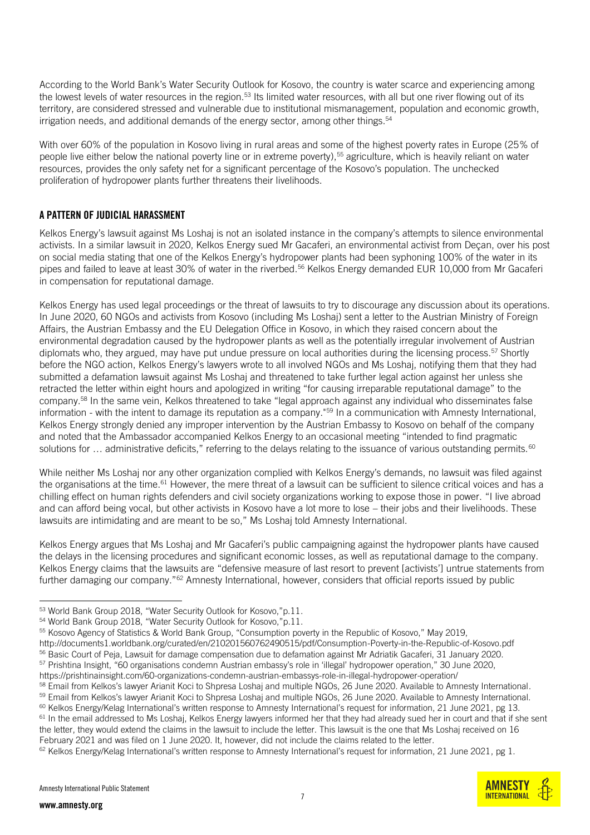According to the World Bank's Water Security Outlook for Kosovo, the country is water scarce and experiencing among the lowest levels of water resources in the region.<sup>53</sup> Its limited water resources, with all but one river flowing out of its territory, are considered stressed and vulnerable due to institutional mismanagement, population and economic growth, irrigation needs, and additional demands of the energy sector, among other things. 54

With over 60% of the population in Kosovo living in rural areas and some of the highest poverty rates in Europe (25% of people live either below the national poverty line or in extreme poverty),<sup>55</sup> agriculture, which is heavily reliant on water resources, provides the only safety net for a significant percentage of the Kosovo's population. The unchecked proliferation of hydropower plants further threatens their livelihoods.

### A PATTERN OF JUDICIAL HARASSMENT

Kelkos Energy's lawsuit against Ms Loshaj is not an isolated instance in the company's attempts to silence environmental activists. In a similar lawsuit in 2020, Kelkos Energy sued Mr Gacaferi, an environmental activist from Deçan, over his post on social media stating that one of the Kelkos Energy's hydropower plants had been syphoning 100% of the water in its pipes and failed to leave at least 30% of water in the riverbed.<sup>56</sup> Kelkos Energy demanded EUR 10,000 from Mr Gacaferi in compensation for reputational damage.

Kelkos Energy has used legal proceedings or the threat of lawsuits to try to discourage any discussion about its operations. In June 2020, 60 NGOs and activists from Kosovo (including Ms Loshaj) sent a letter to the Austrian Ministry of Foreign Affairs, the Austrian Embassy and the EU Delegation Office in Kosovo, in which they raised concern about the environmental degradation caused by the hydropower plants as well as the potentially irregular involvement of Austrian diplomats who, they argued, may have put undue pressure on local authorities during the licensing process.<sup>57</sup> Shortly before the NGO action, Kelkos Energy's lawyers wrote to all involved NGOs and Ms Loshaj, notifying them that they had submitted a defamation lawsuit against Ms Loshaj and threatened to take further legal action against her unless she retracted the letter within eight hours and apologized in writing "for causing irreparable reputational damage" to the company.<sup>58</sup> In the same vein, Kelkos threatened to take "legal approach against any individual who disseminates false information - with the intent to damage its reputation as a company."<sup>59</sup> In a communication with Amnesty International, Kelkos Energy strongly denied any improper intervention by the Austrian Embassy to Kosovo on behalf of the company and noted that the Ambassador accompanied Kelkos Energy to an occasional meeting "intended to find pragmatic solutions for  $\ldots$  administrative deficits," referring to the delays relating to the issuance of various outstanding permits.<sup>60</sup>

While neither Ms Loshaj nor any other organization complied with Kelkos Energy's demands, no lawsuit was filed against the organisations at the time.<sup>61</sup> However, the mere threat of a lawsuit can be sufficient to silence critical voices and has a chilling effect on human rights defenders and civil society organizations working to expose those in power. "I live abroad and can afford being vocal, but other activists in Kosovo have a lot more to lose – their jobs and their livelihoods. These lawsuits are intimidating and are meant to be so," Ms Loshaj told Amnesty International.

Kelkos Energy argues that Ms Loshaj and Mr Gacaferi's public campaigning against the hydropower plants have caused the delays in the licensing procedures and significant economic losses, as well as reputational damage to the company. Kelkos Energy claims that the lawsuits are "defensive measure of last resort to prevent [activists'] untrue statements from further damaging our company."<sup>62</sup> Amnesty International, however, considers that official reports issued by public

http://documents1.worldbank.org/curated/en/210201560762490515/pdf/Consumption-Poverty-in-the-Republic-of-Kosovo.pdf <sup>56</sup> Basic Court of Peja, Lawsuit for damage compensation due to defamation against Mr Adriatik Gacaferi, 31 January 2020. <sup>57</sup> Prishtina Insight, "60 organisations condemn Austrian embassy's role in 'illegal' hydropower operation," 30 June 2020,

the letter, they would extend the claims in the lawsuit to include the letter. This lawsuit is the one that Ms Loshaj received on 16 February 2021 and was filed on 1 June 2020. It, however, did not include the claims related to the letter.



<sup>53</sup> World Bank Group 2018, "Water Security Outlook for Kosovo,"p.11.

<sup>54</sup> World Bank Group 2018, "Water Security Outlook for Kosovo,"p.11.

<sup>55</sup> Kosovo Agency of Statistics & World Bank Group, "Consumption poverty in the Republic of Kosovo," May 2019,

https://prishtinainsight.com/60-organizations-condemn-austrian-embassys-role-in-illegal-hydropower-operation/

<sup>&</sup>lt;sup>58</sup> Email from Kelkos's lawyer Arianit Koci to Shpresa Loshaj and multiple NGOs, 26 June 2020. Available to Amnesty International.

<sup>59</sup> Email from Kelkos's lawyer Arianit Koci to Shpresa Loshaj and multiple NGOs, 26 June 2020. Available to Amnesty International.

<sup>60</sup> Kelkos Energy/Kelag International's written response to Amnesty International's request for information, 21 June 2021, pg 13.  $61$  In the email addressed to Ms Loshaj, Kelkos Energy lawyers informed her that they had already sued her in court and that if she sent

<sup>62</sup> Kelkos Energy/Kelag International's written response to Amnesty International's request for information, 21 June 2021, pg 1.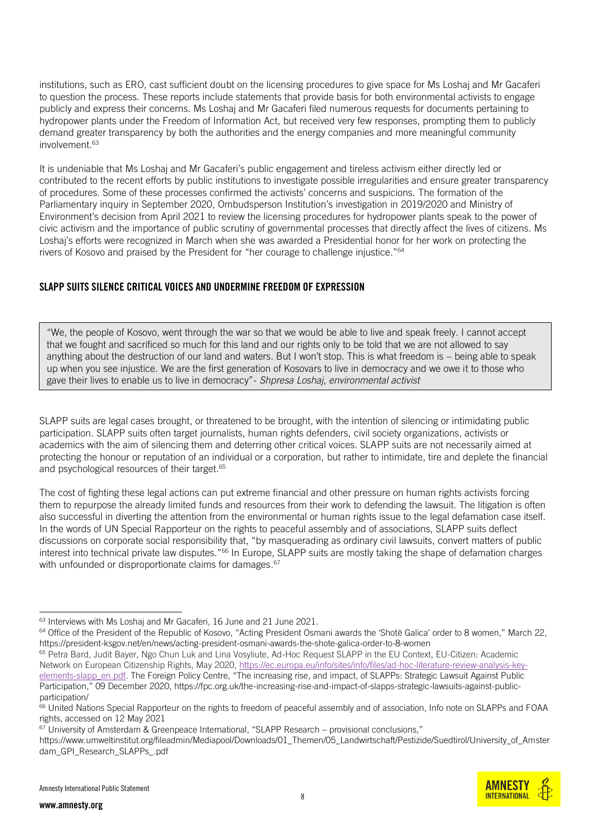institutions, such as ERO, cast sufficient doubt on the licensing procedures to give space for Ms Loshaj and Mr Gacaferi to question the process. These reports include statements that provide basis for both environmental activists to engage publicly and express their concerns. Ms Loshaj and Mr Gacaferi filed numerous requests for documents pertaining to hydropower plants under the Freedom of Information Act, but received very few responses, prompting them to publicly demand greater transparency by both the authorities and the energy companies and more meaningful community involvement.<sup>63</sup>

It is undeniable that Ms Loshaj and Mr Gacaferi's public engagement and tireless activism either directly led or contributed to the recent efforts by public institutions to investigate possible irregularities and ensure greater transparency of procedures. Some of these processes confirmed the activists' concerns and suspicions. The formation of the Parliamentary inquiry in September 2020, Ombudsperson Institution's investigation in 2019/2020 and Ministry of Environment's decision from April 2021 to review the licensing procedures for hydropower plants speak to the power of civic activism and the importance of public scrutiny of governmental processes that directly affect the lives of citizens. Ms Loshaj's efforts were recognized in March when she was awarded a Presidential honor for her work on protecting the rivers of Kosovo and praised by the President for "her courage to challenge injustice."<sup>64</sup>

### SLAPP SUITS SILENCE CRITICAL VOICES AND UNDERMINE FREEDOM OF EXPRESSION

"We, the people of Kosovo, went through the war so that we would be able to live and speak freely. I cannot accept that we fought and sacrificed so much for this land and our rights only to be told that we are not allowed to say anything about the destruction of our land and waters. But I won't stop. This is what freedom is – being able to speak up when you see injustice. We are the first generation of Kosovars to live in democracy and we owe it to those who gave their lives to enable us to live in democracy"- *Shpresa Loshaj, environmental activist*

SLAPP suits are legal cases brought, or threatened to be brought, with the intention of silencing or intimidating public participation. SLAPP suits often target journalists, human rights defenders, civil society organizations, activists or academics with the aim of silencing them and deterring other critical voices. SLAPP suits are not necessarily aimed at protecting the honour or reputation of an individual or a corporation, but rather to intimidate, tire and deplete the financial and psychological resources of their target.<sup>65</sup>

The cost of fighting these legal actions can put extreme financial and other pressure on human rights activists forcing them to repurpose the already limited funds and resources from their work to defending the lawsuit. The litigation is often also successful in diverting the attention from the environmental or human rights issue to the legal defamation case itself. In the words of UN Special Rapporteur on the rights to peaceful assembly and of associations, SLAPP suits deflect discussions on corporate social responsibility that, "by masquerading as ordinary civil lawsuits, convert matters of public interest into technical private law disputes."<sup>66</sup> In Europe, SLAPP suits are mostly taking the shape of defamation charges with unfounded or disproportionate claims for damages. 67

<sup>63</sup> Interviews with Ms Loshaj and Mr Gacaferi, 16 June and 21 June 2021.

<sup>64</sup> Office of the President of the Republic of Kosovo, "Acting President Osmani awards the 'Shotë Galica' order to 8 women," March 22, https://president-ksgov.net/en/news/acting-president-osmani-awards-the-shote-galica-order-to-8-women

<sup>65</sup> Petra Bard, Judit Bayer, Ngo Chun Luk and Lina Vosyliute, Ad-Hoc Request SLAPP in the EU Context, EU-Citizen: Academic Network on European Citizenship Rights, May 2020, [https://ec.europa.eu/info/sites/info/files/ad-hoc-literature-review-analysis-key](https://ec.europa.eu/info/sites/info/files/ad-hoc-literature-review-analysis-key-elements-slapp_en.pdf)[elements-slapp\\_en.pdf.](https://ec.europa.eu/info/sites/info/files/ad-hoc-literature-review-analysis-key-elements-slapp_en.pdf) The Foreign Policy Centre, "The increasing rise, and impact, of SLAPPs: Strategic Lawsuit Against Public Participation," 09 December 2020, https://fpc.org.uk/the-increasing-rise-and-impact-of-slapps-strategic-lawsuits-against-public-

participation/

<sup>66</sup> United Nations Special Rapporteur on the rights to freedom of peaceful assembly and of association, Info note on SLAPPs and FOAA rights, accessed on 12 May 2021

 $67$  University of Amsterdam & Greenpeace International, "SLAPP Research – provisional conclusions,"

https://www.umweltinstitut.org/fileadmin/Mediapool/Downloads/01\_Themen/05\_Landwirtschaft/Pestizide/Suedtirol/University\_of\_Amster dam\_GPI\_Research\_SLAPPs\_.pdf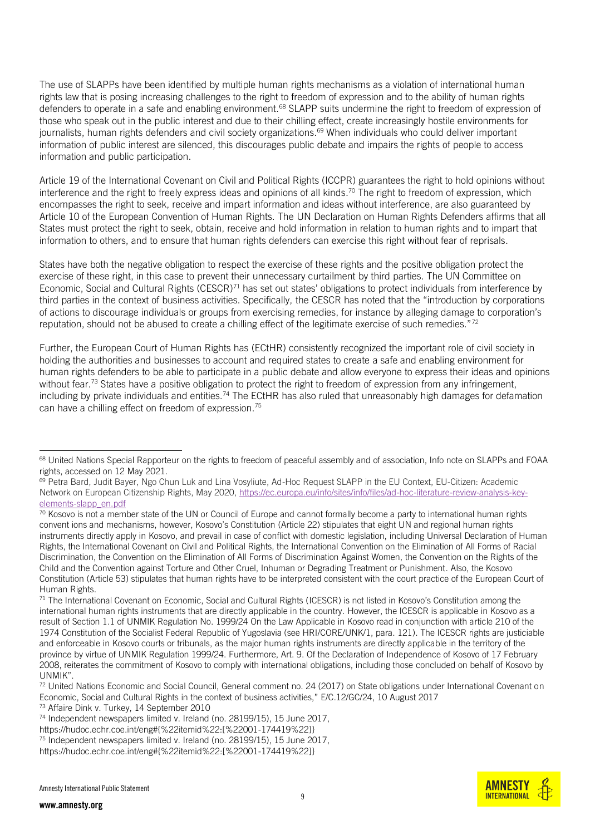The use of SLAPPs have been identified by multiple human rights mechanisms as a violation of international human rights law that is posing increasing challenges to the right to freedom of expression and to the ability of human rights defenders to operate in a safe and enabling environment.<sup>68</sup> SLAPP suits undermine the right to freedom of expression of those who speak out in the public interest and due to their chilling effect, create increasingly hostile environments for journalists, human rights defenders and civil society organizations. <sup>69</sup> When individuals who could deliver important information of public interest are silenced, this discourages public debate and impairs the rights of people to access information and public participation.

Article 19 of the International Covenant on Civil and Political Rights (ICCPR) guarantees the right to hold opinions without interference and the right to freely express ideas and opinions of all kinds. <sup>70</sup> The right to freedom of expression, which encompasses the right to seek, receive and impart information and ideas without interference, are also guaranteed by Article 10 of the European Convention of Human Rights. The UN Declaration on Human Rights Defenders affirms that all States must protect the right to seek, obtain, receive and hold information in relation to human rights and to impart that information to others, and to ensure that human rights defenders can exercise this right without fear of reprisals.

States have both the negative obligation to respect the exercise of these rights and the positive obligation protect the exercise of these right, in this case to prevent their unnecessary curtailment by third parties. The UN Committee on Economic, Social and Cultural Rights (CESCR)<sup>71</sup> has set out states' obligations to protect individuals from interference by third parties in the context of business activities. Specifically, the CESCR has noted that the "introduction by corporations of actions to discourage individuals or groups from exercising remedies, for instance by alleging damage to corporation's reputation, should not be abused to create a chilling effect of the legitimate exercise of such remedies."<sup>72</sup>

Further, the European Court of Human Rights has (ECtHR) consistently recognized the important role of civil society in holding the authorities and businesses to account and required states to create a safe and enabling environment for human rights defenders to be able to participate in a public debate and allow everyone to express their ideas and opinions without fear.<sup>73</sup> States have a positive obligation to protect the right to freedom of expression from any infringement, including by private individuals and entities.<sup>74</sup> The ECtHR has also ruled that unreasonably high damages for defamation can have a chilling effect on freedom of expression.<sup>75</sup>

<sup>73</sup> Affaire Dink v. Turkey, 14 September 2010

https://hudoc.echr.coe.int/eng#{%22itemid%22:[%22001-174419%22]}



<sup>&</sup>lt;sup>68</sup> United Nations Special Rapporteur on the rights to freedom of peaceful assembly and of association, Info note on SLAPPs and FOAA rights, accessed on 12 May 2021.

<sup>69</sup> Petra Bard, Judit Bayer, Ngo Chun Luk and Lina Vosyliute, Ad-Hoc Request SLAPP in the EU Context, EU-Citizen: Academic Network on European Citizenship Rights, May 2020, [https://ec.europa.eu/info/sites/info/files/ad-hoc-literature-review-analysis-key](https://ec.europa.eu/info/sites/info/files/ad-hoc-literature-review-analysis-key-elements-slapp_en.pdf)[elements-slapp\\_en.pdf](https://ec.europa.eu/info/sites/info/files/ad-hoc-literature-review-analysis-key-elements-slapp_en.pdf)

 $\frac{70}{2}$  Kosovo is not a member state of the UN or Council of Europe and cannot formally become a party to international human rights convent ions and mechanisms, however, Kosovo's Constitution (Article 22) stipulates that eight UN and regional human rights instruments directly apply in Kosovo, and prevail in case of conflict with domestic legislation, including Universal Declaration of Human Rights, the International Covenant on Civil and Political Rights, the International Convention on the Elimination of All Forms of Racial Discrimination, the Convention on the Elimination of All Forms of Discrimination Against Women, the Convention on the Rights of the Child and the Convention against Torture and Other Cruel, Inhuman or Degrading Treatment or Punishment. Also, the Kosovo Constitution (Article 53) stipulates that human rights have to be interpreted consistent with the court practice of the European Court of Human Rights.

 $71$  The International Covenant on Economic, Social and Cultural Rights (ICESCR) is not listed in Kosovo's Constitution among the international human rights instruments that are directly applicable in the country. However, the ICESCR is applicable in Kosovo as a result of Section 1.1 of UNMIK Regulation No. 1999/24 On the Law Applicable in Kosovo read in conjunction with article 210 of the 1974 Constitution of the Socialist Federal Republic of Yugoslavia (see HRI/CORE/UNK/1, para. 121). The ICESCR rights are justiciable and enforceable in Kosovo courts or tribunals, as the major human rights instruments are directly applicable in the territory of the province by virtue of UNMIK Regulation 1999/24. Furthermore, Art. 9. Of the Declaration of Independence of Kosovo of 17 February 2008, reiterates the commitment of Kosovo to comply with international obligations, including those concluded on behalf of Kosovo by UNMIK".

<sup>72</sup> United Nations Economic and Social Council, General comment no. 24 (2017) on State obligations under International Covenant on Economic, Social and Cultural Rights in the context of business activities," E/C.12/GC/24, 10 August 2017

<sup>74</sup> Independent newspapers limited v. Ireland (no. 28199/15), 15 June 2017,

<sup>75</sup> Independent newspapers limited v. Ireland (no. 28199/15), 15 June 2017, https://hudoc.echr.coe.int/eng#{%22itemid%22:[%22001-174419%22]}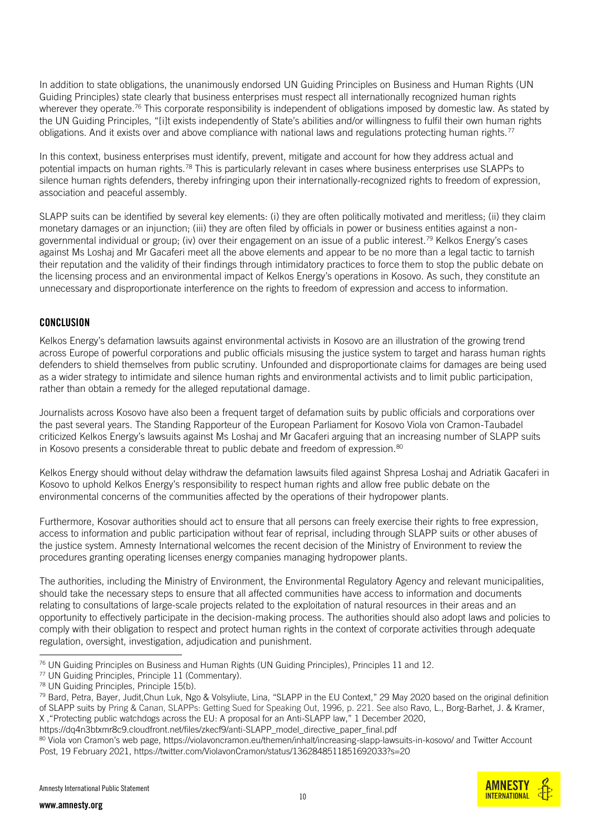In addition to state obligations, the unanimously endorsed UN Guiding Principles on Business and Human Rights (UN Guiding Principles) state clearly that business enterprises must respect all internationally recognized human rights wherever they operate.<sup>76</sup> This corporate responsibility is independent of obligations imposed by domestic law. As stated by the UN Guiding Principles, "[i]t exists independently of State's abilities and/or willingness to fulfil their own human rights obligations. And it exists over and above compliance with national laws and regulations protecting human rights.<sup>77</sup>

In this context, business enterprises must identify, prevent, mitigate and account for how they address actual and potential impacts on human rights.<sup>78</sup> This is particularly relevant in cases where business enterprises use SLAPPs to silence human rights defenders, thereby infringing upon their internationally-recognized rights to freedom of expression, association and peaceful assembly.

SLAPP suits can be identified by several key elements: (i) they are often politically motivated and meritless; (ii) they claim monetary damages or an injunction; (iii) they are often filed by officials in power or business entities against a nongovernmental individual or group; (iv) over their engagement on an issue of a public interest.<sup>79</sup> Kelkos Energy's cases against Ms Loshaj and Mr Gacaferi meet all the above elements and appear to be no more than a legal tactic to tarnish their reputation and the validity of their findings through intimidatory practices to force them to stop the public debate on the licensing process and an environmental impact of Kelkos Energy's operations in Kosovo. As such, they constitute an unnecessary and disproportionate interference on the rights to freedom of expression and access to information.

#### CONCLUSION

Kelkos Energy's defamation lawsuits against environmental activists in Kosovo are an illustration of the growing trend across Europe of powerful corporations and public officials misusing the justice system to target and harass human rights defenders to shield themselves from public scrutiny. Unfounded and disproportionate claims for damages are being used as a wider strategy to intimidate and silence human rights and environmental activists and to limit public participation, rather than obtain a remedy for the alleged reputational damage.

Journalists across Kosovo have also been a frequent target of defamation suits by public officials and corporations over the past several years. The Standing Rapporteur of the European Parliament for Kosovo Viola von Cramon-Taubadel criticized Kelkos Energy's lawsuits against Ms Loshaj and Mr Gacaferi arguing that an increasing number of SLAPP suits in Kosovo presents a considerable threat to public debate and freedom of expression.<sup>80</sup>

Kelkos Energy should without delay withdraw the defamation lawsuits filed against Shpresa Loshaj and Adriatik Gacaferi in Kosovo to uphold Kelkos Energy's responsibility to respect human rights and allow free public debate on the environmental concerns of the communities affected by the operations of their hydropower plants.

Furthermore, Kosovar authorities should act to ensure that all persons can freely exercise their rights to free expression, access to information and public participation without fear of reprisal, including through SLAPP suits or other abuses of the justice system. Amnesty International welcomes the recent decision of the Ministry of Environment to review the procedures granting operating licenses energy companies managing hydropower plants.

The authorities, including the Ministry of Environment, the Environmental Regulatory Agency and relevant municipalities, should take the necessary steps to ensure that all affected communities have access to information and documents relating to consultations of large-scale projects related to the exploitation of natural resources in their areas and an opportunity to effectively participate in the decision-making process. The authorities should also adopt laws and policies to comply with their obligation to respect and protect human rights in the context of corporate activities through adequate regulation, oversight, investigation, adjudication and punishment.



<sup>76</sup> UN Guiding Principles on Business and Human Rights (UN Guiding Principles), Principles 11 and 12.

<sup>77</sup> UN Guiding Principles, Principle 11 (Commentary).

<sup>78</sup> UN Guiding Principles, Principle 15(b).

<sup>79</sup> Bard, Petra, Bayer, Judit, Chun Luk, Ngo & Volsyliute, Lina, "SLAPP in the EU Context," 29 May 2020 based on the original definition of SLAPP suits by Pring & Canan, SLAPPs: Getting Sued for Speaking Out, 1996, p. 221. See also Ravo, L., Borg-Barhet, J. & Kramer, X ,"Protecting public watchdogs across the EU: A proposal for an Anti-SLAPP law," 1 December 2020,

https://dq4n3btxmr8c9.cloudfront.net/files/zkecf9/anti-SLAPP\_model\_directive\_paper\_final.pdf

<sup>80</sup> Viola von Cramon's web page, <https://violavoncramon.eu/themen/inhalt/increasing-slapp-lawsuits-in-kosovo/> and Twitter Account Post, 19 February 2021, https://twitter.com/ViolavonCramon/status/1362848511851692033?s=20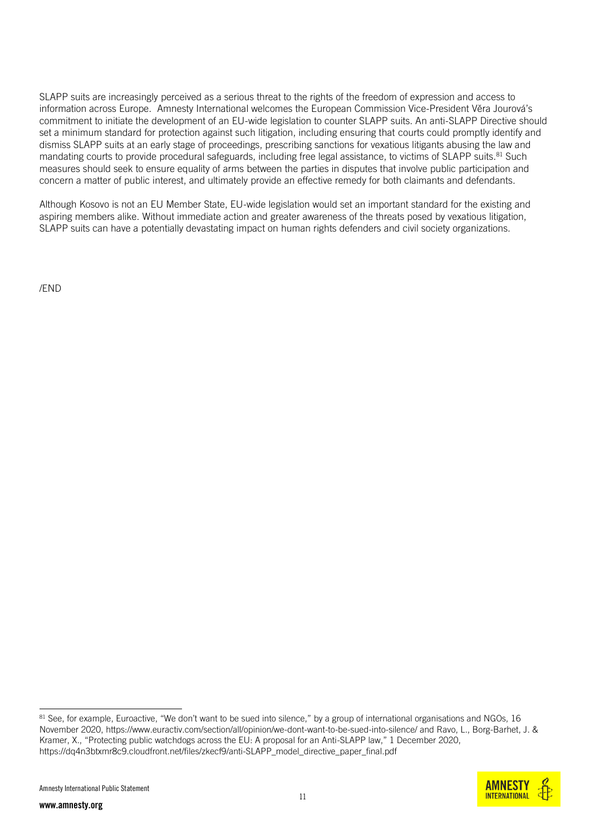SLAPP suits are increasingly perceived as a serious threat to the rights of the freedom of expression and access to information across Europe. Amnesty International welcomes the European Commission Vice-President Věra Jourová's commitment to initiate the development of an EU-wide legislation to counter SLAPP suits. An anti-SLAPP Directive should set a minimum standard for protection against such litigation, including ensuring that courts could promptly identify and dismiss SLAPP suits at an early stage of proceedings, prescribing sanctions for vexatious litigants abusing the law and mandating courts to provide procedural safeguards, including free legal assistance, to victims of SLAPP suits.<sup>81</sup> Such measures should seek to ensure equality of arms between the parties in disputes that involve public participation and concern a matter of public interest, and ultimately provide an effective remedy for both claimants and defendants.

Although Kosovo is not an EU Member State, EU-wide legislation would set an important standard for the existing and aspiring members alike. Without immediate action and greater awareness of the threats posed by vexatious litigation, SLAPP suits can have a potentially devastating impact on human rights defenders and civil society organizations.

/END

<sup>&</sup>lt;sup>81</sup> See, for example, Euroactive, "We don't want to be sued into silence," by a group of international organisations and NGOs, 16 November 2020[, https://www.euractiv.com/section/all/opinion/we-dont-want-to-be-sued-into-silence/](https://www.euractiv.com/section/all/opinion/we-dont-want-to-be-sued-into-silence/) and Ravo, L., Borg-Barhet, J. & Kramer, X., "Protecting public watchdogs across the EU: A proposal for an Anti-SLAPP law," 1 December 2020, https://dq4n3btxmr8c9.cloudfront.net/files/zkecf9/anti-SLAPP\_model\_directive\_paper\_final.pdf

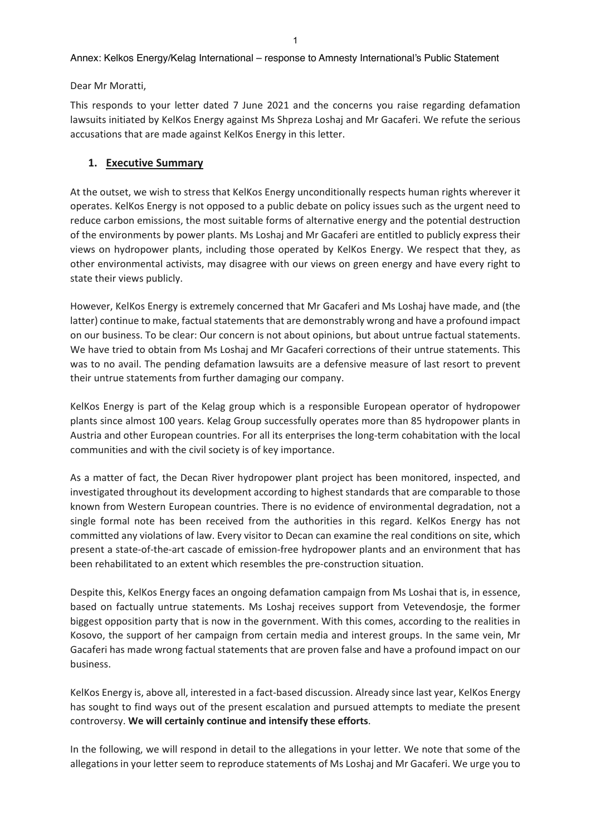#### Annex: Kelkos Energy/Kelag International – response to Amnesty International's Public Statement

Dear Mr Moratti,

This responds to your letter dated 7 June 2021 and the concerns you raise regarding defamation lawsuits initiated by KelKos Energy against Ms Shpreza Loshaj and Mr Gacaferi. We refute the serious accusations that are made against KelKos Energy in this letter.

#### **1. Executive Summary**

At the outset, we wish to stress that KelKos Energy unconditionally respects human rights wherever it operates. KelKos Energy is not opposed to a public debate on policy issues such as the urgent need to reduce carbon emissions, the most suitable forms of alternative energy and the potential destruction of the environments by power plants. Ms Loshaj and Mr Gacaferi are entitled to publicly express their views on hydropower plants, including those operated by KelKos Energy. We respect that they, as other environmental activists, may disagree with our views on green energy and have every right to state their views publicly.

However, KelKos Energy is extremely concerned that Mr Gacaferi and Ms Loshaj have made, and (the latter) continue to make, factual statements that are demonstrably wrong and have a profound impact on our business. To be clear: Our concern is not about opinions, but about untrue factual statements. We have tried to obtain from Ms Loshaj and Mr Gacaferi corrections of their untrue statements. This was to no avail. The pending defamation lawsuits are a defensive measure of last resort to prevent their untrue statements from further damaging our company.

KelKos Energy is part of the Kelag group which is a responsible European operator of hydropower plants since almost 100 years. Kelag Group successfully operates more than 85 hydropower plants in Austria and other European countries. For all its enterprises the long‐term cohabitation with the local communities and with the civil society is of key importance.

As a matter of fact, the Decan River hydropower plant project has been monitored, inspected, and investigated throughout its development according to highest standards that are comparable to those known from Western European countries. There is no evidence of environmental degradation, not a single formal note has been received from the authorities in this regard. KelKos Energy has not committed any violations of law. Every visitor to Decan can examine the real conditions on site, which present a state‐of‐the‐art cascade of emission‐free hydropower plants and an environment that has been rehabilitated to an extent which resembles the pre-construction situation.

Despite this, KelKos Energy faces an ongoing defamation campaign from Ms Loshai that is, in essence, based on factually untrue statements. Ms Loshaj receives support from Vetevendosje, the former biggest opposition party that is now in the government. With this comes, according to the realities in Kosovo, the support of her campaign from certain media and interest groups. In the same vein, Mr Gacaferi has made wrong factual statements that are proven false and have a profound impact on our business.

KelKos Energy is, above all, interested in a fact‐based discussion. Already since last year, KelKos Energy has sought to find ways out of the present escalation and pursued attempts to mediate the present controversy. **We will certainly continue and intensify these efforts**.

In the following, we will respond in detail to the allegations in your letter. We note that some of the allegations in your letter seem to reproduce statements of Ms Loshaj and Mr Gacaferi. We urge you to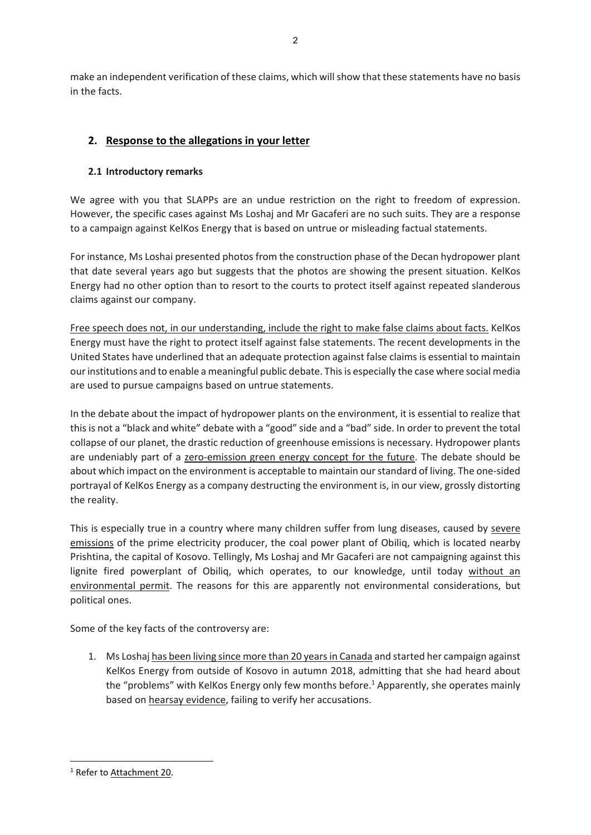make an independent verification of these claims, which willshow that these statements have no basis in the facts.

# **2. Response to the allegations in your letter**

# **2.1 Introductory remarks**

We agree with you that SLAPPs are an undue restriction on the right to freedom of expression. However, the specific cases against Ms Loshaj and Mr Gacaferi are no such suits. They are a response to a campaign against KelKos Energy that is based on untrue or misleading factual statements.

For instance, Ms Loshai presented photos from the construction phase of the Decan hydropower plant that date several years ago but suggests that the photos are showing the present situation. KelKos Energy had no other option than to resort to the courts to protect itself against repeated slanderous claims against our company.

Free speech does not, in our understanding, include the right to make false claims about facts. KelKos Energy must have the right to protect itself against false statements. The recent developments in the United States have underlined that an adequate protection against false claims is essential to maintain ourinstitutions and to enable a meaningful public debate. Thisis especially the case where social media are used to pursue campaigns based on untrue statements.

In the debate about the impact of hydropower plants on the environment, it is essential to realize that this is not a "black and white" debate with a "good" side and a "bad" side. In order to prevent the total collapse of our planet, the drastic reduction of greenhouse emissions is necessary. Hydropower plants are undeniably part of a zero-emission green energy concept for the future. The debate should be about which impact on the environment is acceptable to maintain our standard of living. The one-sided portrayal of KelKos Energy as a company destructing the environment is, in our view, grossly distorting the reality.

This is especially true in a country where many children suffer from lung diseases, caused by severe emissions of the prime electricity producer, the coal power plant of Obiliq, which is located nearby Prishtina, the capital of Kosovo. Tellingly, Ms Loshaj and Mr Gacaferi are not campaigning against this lignite fired powerplant of Obiliq, which operates, to our knowledge, until today without an environmental permit. The reasons for this are apparently not environmental considerations, but political ones.

Some of the key facts of the controversy are:

1. Ms Loshaj has been living since more than 20 yearsin Canada and started her campaign against KelKos Energy from outside of Kosovo in autumn 2018, admitting that she had heard about the "problems" with KelKos Energy only few months before.<sup>1</sup> Apparently, she operates mainly based on hearsay evidence, failing to verify her accusations.

<sup>1</sup> Refer to Attachment 20.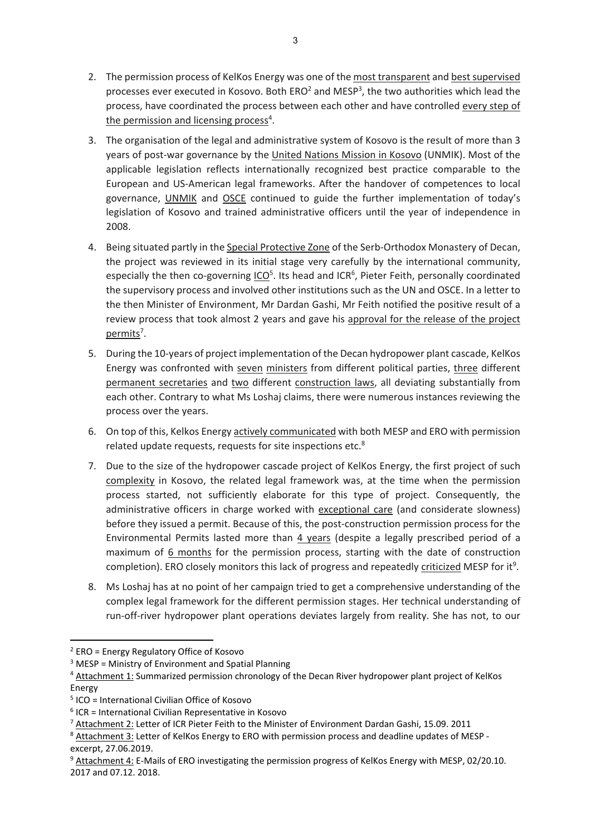- 2. The permission process of KelKos Energy was one of the most transparent and best supervised processes ever executed in Kosovo. Both ERO<sup>2</sup> and MESP<sup>3</sup>, the two authorities which lead the process, have coordinated the process between each other and have controlled every step of the permission and licensing process<sup>4</sup>.
- 3. The organisation of the legal and administrative system of Kosovo is the result of more than 3 years of post‐war governance by the United Nations Mission in Kosovo (UNMIK). Most of the applicable legislation reflects internationally recognized best practice comparable to the European and US‐American legal frameworks. After the handover of competences to local governance, UNMIK and OSCE continued to guide the further implementation of today's legislation of Kosovo and trained administrative officers until the year of independence in 2008.
- 4. Being situated partly in the Special Protective Zone of the Serb-Orthodox Monastery of Decan, the project was reviewed in its initial stage very carefully by the international community, especially the then co-governing ICO<sup>5</sup>. Its head and ICR<sup>6</sup>, Pieter Feith, personally coordinated the supervisory process and involved other institutions such as the UN and OSCE. In a letter to the then Minister of Environment, Mr Dardan Gashi, Mr Feith notified the positive result of a review process that took almost 2 years and gave his approval for the release of the project permits<sup>7</sup>.
- 5. During the 10‐years of project implementation of the Decan hydropower plant cascade, KelKos Energy was confronted with seven ministers from different political parties, three different permanent secretaries and two different construction laws, all deviating substantially from each other. Contrary to what Ms Loshaj claims, there were numerous instances reviewing the process over the years.
- 6. On top of this, Kelkos Energy actively communicated with both MESP and ERO with permission related update requests, requests for site inspections etc.<sup>8</sup>
- 7. Due to the size of the hydropower cascade project of KelKos Energy, the first project of such complexity in Kosovo, the related legal framework was, at the time when the permission process started, not sufficiently elaborate for this type of project. Consequently, the administrative officers in charge worked with exceptional care (and considerate slowness) before they issued a permit. Because of this, the post-construction permission process for the Environmental Permits lasted more than 4 years (despite a legally prescribed period of a maximum of 6 months for the permission process, starting with the date of construction completion). ERO closely monitors this lack of progress and repeatedly criticized MESP for it<sup>9</sup>.
- 8. Ms Loshaj has at no point of her campaign tried to get a comprehensive understanding of the complex legal framework for the different permission stages. Her technical understanding of run-off-river hydropower plant operations deviates largely from reality. She has not, to our

<sup>2</sup> ERO = Energy Regulatory Office of Kosovo

 $3$  MESP = Ministry of Environment and Spatial Planning

<sup>4</sup> Attachment 1: Summarized permission chronology of the Decan River hydropower plant project of KelKos Energy

<sup>5</sup> ICO = International Civilian Office of Kosovo

 $6$  ICR = International Civilian Representative in Kosovo

<sup>7</sup> Attachment 2: Letter of ICR Pieter Feith to the Minister of Environment Dardan Gashi, 15.09. 2011

<sup>8</sup> Attachment 3: Letter of KelKos Energy to ERO with permission process and deadline updates of MESP excerpt, 27.06.2019.

<sup>&</sup>lt;sup>9</sup> Attachment 4: E-Mails of ERO investigating the permission progress of KelKos Energy with MESP, 02/20.10. 2017 and 07.12. 2018.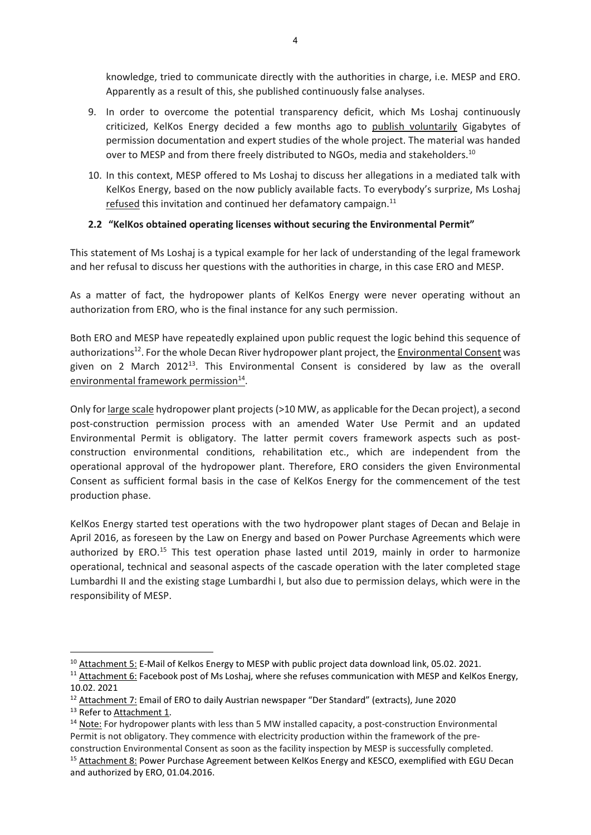knowledge, tried to communicate directly with the authorities in charge, i.e. MESP and ERO. Apparently as a result of this, she published continuously false analyses.

- 9. In order to overcome the potential transparency deficit, which Ms Loshaj continuously criticized, KelKos Energy decided a few months ago to publish voluntarily Gigabytes of permission documentation and expert studies of the whole project. The material was handed over to MESP and from there freely distributed to NGOs, media and stakeholders.<sup>10</sup>
- 10. In this context, MESP offered to Ms Loshaj to discuss her allegations in a mediated talk with KelKos Energy, based on the now publicly available facts. To everybody's surprize, Ms Loshaj refused this invitation and continued her defamatory campaign. $11$

# **2.2 "KelKos obtained operating licenses without securing the Environmental Permit"**

This statement of Ms Loshaj is a typical example for her lack of understanding of the legal framework and her refusal to discuss her questions with the authorities in charge, in this case ERO and MESP.

As a matter of fact, the hydropower plants of KelKos Energy were never operating without an authorization from ERO, who is the final instance for any such permission.

Both ERO and MESP have repeatedly explained upon public request the logic behind this sequence of authorizations<sup>12</sup>. For the whole Decan River hydropower plant project, the Environmental Consent was given on 2 March 2012<sup>13</sup>. This Environmental Consent is considered by law as the overall environmental framework permission<sup>14</sup>.

Only for large scale hydropower plant projects(>10 MW, as applicable for the Decan project), a second post-construction permission process with an amended Water Use Permit and an updated Environmental Permit is obligatory. The latter permit covers framework aspects such as postconstruction environmental conditions, rehabilitation etc., which are independent from the operational approval of the hydropower plant. Therefore, ERO considers the given Environmental Consent as sufficient formal basis in the case of KelKos Energy for the commencement of the test production phase.

KelKos Energy started test operations with the two hydropower plant stages of Decan and Belaje in April 2016, as foreseen by the Law on Energy and based on Power Purchase Agreements which were authorized by ERO.<sup>15</sup> This test operation phase lasted until 2019, mainly in order to harmonize operational, technical and seasonal aspects of the cascade operation with the later completed stage Lumbardhi II and the existing stage Lumbardhi I, but also due to permission delays, which were in the responsibility of MESP.

<sup>12</sup> Attachment 7: Email of ERO to daily Austrian newspaper "Der Standard" (extracts), June 2020

<sup>&</sup>lt;sup>10</sup> Attachment 5: E-Mail of Kelkos Energy to MESP with public project data download link, 05.02. 2021.

<sup>&</sup>lt;sup>11</sup> Attachment 6: Facebook post of Ms Loshaj, where she refuses communication with MESP and KelKos Energy, 10.02. 2021

<sup>&</sup>lt;sup>13</sup> Refer to Attachment 1.

<sup>&</sup>lt;sup>14</sup> Note: For hydropower plants with less than 5 MW installed capacity, a post-construction Environmental Permit is not obligatory. They commence with electricity production within the framework of the pre‐

construction Environmental Consent as soon as the facility inspection by MESP is successfully completed. <sup>15</sup> Attachment 8: Power Purchase Agreement between KelKos Energy and KESCO, exemplified with EGU Decan and authorized by ERO, 01.04.2016.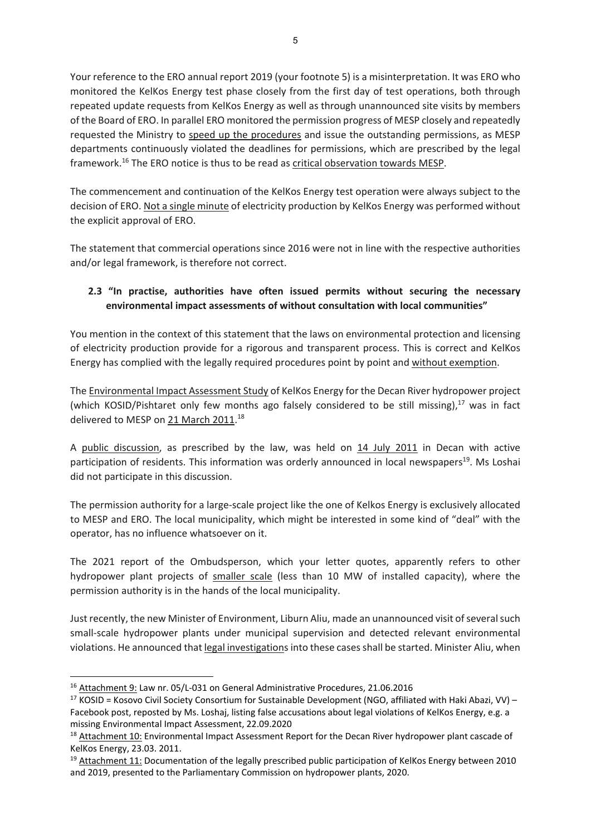Your reference to the ERO annual report 2019 (your footnote 5) is a misinterpretation. It was ERO who monitored the KelKos Energy test phase closely from the first day of test operations, both through repeated update requests from KelKos Energy as well as through unannounced site visits by members of the Board of ERO. In parallel ERO monitored the permission progress of MESP closely and repeatedly requested the Ministry to speed up the procedures and issue the outstanding permissions, as MESP departments continuously violated the deadlines for permissions, which are prescribed by the legal framework.16 The ERO notice is thus to be read as critical observation towards MESP.

The commencement and continuation of the KelKos Energy test operation were always subject to the decision of ERO. Not a single minute of electricity production by KelKos Energy was performed without the explicit approval of ERO.

The statement that commercial operations since 2016 were not in line with the respective authorities and/or legal framework, is therefore not correct.

# **2.3 "In practise, authorities have often issued permits without securing the necessary environmental impact assessments of without consultation with local communities"**

You mention in the context of this statement that the laws on environmental protection and licensing of electricity production provide for a rigorous and transparent process. This is correct and KelKos Energy has complied with the legally required procedures point by point and without exemption.

The Environmental Impact Assessment Study of KelKos Energy for the Decan River hydropower project (which KOSID/Pishtaret only few months ago falsely considered to be still missing), $^{17}$  was in fact delivered to MESP on 21 March 2011.<sup>18</sup>

A public discussion, as prescribed by the law, was held on 14 July 2011 in Decan with active participation of residents. This information was orderly announced in local newspapers<sup>19</sup>. Ms Loshai did not participate in this discussion.

The permission authority for a large‐scale project like the one of Kelkos Energy is exclusively allocated to MESP and ERO. The local municipality, which might be interested in some kind of "deal" with the operator, has no influence whatsoever on it.

The 2021 report of the Ombudsperson, which your letter quotes, apparently refers to other hydropower plant projects of smaller scale (less than 10 MW of installed capacity), where the permission authority is in the hands of the local municipality.

Just recently, the new Minister of Environment, Liburn Aliu, made an unannounced visit of several such small‐scale hydropower plants under municipal supervision and detected relevant environmental violations. He announced that legal investigationsinto these casesshall be started. Minister Aliu, when

<sup>&</sup>lt;sup>16</sup> Attachment 9: Law nr. 05/L-031 on General Administrative Procedures, 21.06.2016

<sup>17</sup> KOSID = Kosovo Civil Society Consortium for Sustainable Development (NGO, affiliated with Haki Abazi, VV) – Facebook post, reposted by Ms. Loshaj, listing false accusations about legal violations of KelKos Energy, e.g. a missing Environmental Impact Assessment, 22.09.2020

<sup>&</sup>lt;sup>18</sup> Attachment 10: Environmental Impact Assessment Report for the Decan River hydropower plant cascade of KelKos Energy, 23.03. 2011.

 $19$  Attachment 11: Documentation of the legally prescribed public participation of KelKos Energy between 2010 and 2019, presented to the Parliamentary Commission on hydropower plants, 2020.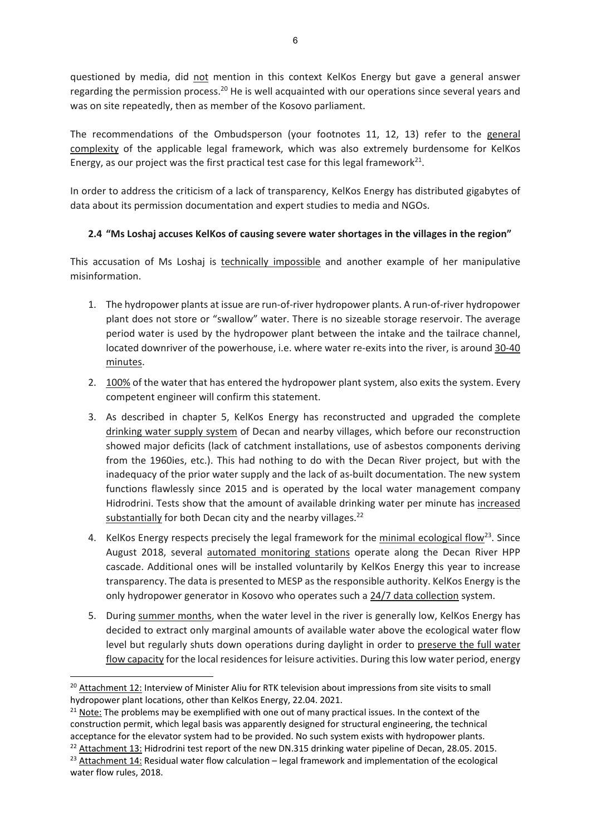questioned by media, did not mention in this context KelKos Energy but gave a general answer regarding the permission process.<sup>20</sup> He is well acquainted with our operations since several years and was on site repeatedly, then as member of the Kosovo parliament.

The recommendations of the Ombudsperson (your footnotes 11, 12, 13) refer to the general complexity of the applicable legal framework, which was also extremely burdensome for KelKos Energy, as our project was the first practical test case for this legal framework $^{21}$ .

In order to address the criticism of a lack of transparency, KelKos Energy has distributed gigabytes of data about its permission documentation and expert studies to media and NGOs.

# **2.4 "Ms Loshaj accuses KelKos of causing severe water shortages in the villages in the region"**

This accusation of Ms Loshaj is technically impossible and another example of her manipulative misinformation.

- 1. The hydropower plants at issue are run‐of‐river hydropower plants. A run‐of‐river hydropower plant does not store or "swallow" water. There is no sizeable storage reservoir. The average period water is used by the hydropower plant between the intake and the tailrace channel, located downriver of the powerhouse, i.e. where water re‐exits into the river, is around 30‐40 minutes.
- 2. 100% of the water that has entered the hydropower plant system, also exits the system. Every competent engineer will confirm this statement.
- 3. As described in chapter 5, KelKos Energy has reconstructed and upgraded the complete drinking water supply system of Decan and nearby villages, which before our reconstruction showed major deficits (lack of catchment installations, use of asbestos components deriving from the 1960ies, etc.). This had nothing to do with the Decan River project, but with the inadequacy of the prior water supply and the lack of as-built documentation. The new system functions flawlessly since 2015 and is operated by the local water management company Hidrodrini. Tests show that the amount of available drinking water per minute has increased substantially for both Decan city and the nearby villages.<sup>22</sup>
- 4. KelKos Energy respects precisely the legal framework for the minimal ecological flow<sup>23</sup>. Since August 2018, several automated monitoring stations operate along the Decan River HPP cascade. Additional ones will be installed voluntarily by KelKos Energy this year to increase transparency. The data is presented to MESP as the responsible authority. KelKos Energy isthe only hydropower generator in Kosovo who operates such a 24/7 data collection system.
- 5. During summer months, when the water level in the river is generally low, KelKos Energy has decided to extract only marginal amounts of available water above the ecological water flow level but regularly shuts down operations during daylight in order to preserve the full water flow capacity for the local residences for leisure activities. During this low water period, energy

<sup>&</sup>lt;sup>20</sup> Attachment 12: Interview of Minister Aliu for RTK television about impressions from site visits to small hydropower plant locations, other than KelKos Energy, 22.04. 2021.

 $21$  Note: The problems may be exemplified with one out of many practical issues. In the context of the construction permit, which legal basis was apparently designed for structural engineering, the technical acceptance for the elevator system had to be provided. No such system exists with hydropower plants.

<sup>&</sup>lt;sup>22</sup> Attachment 13: Hidrodrini test report of the new DN.315 drinking water pipeline of Decan, 28.05. 2015.  $23$  Attachment 14: Residual water flow calculation – legal framework and implementation of the ecological water flow rules, 2018.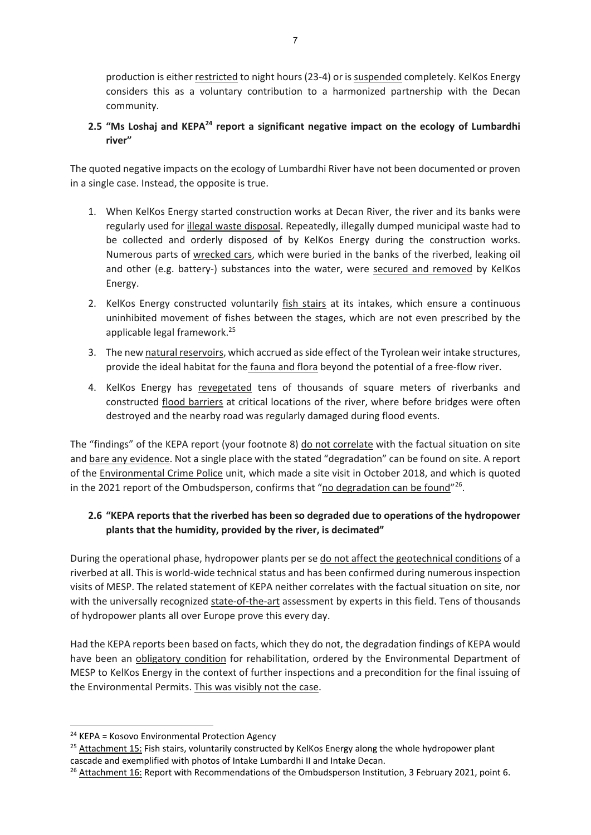production is either restricted to night hours (23-4) or is suspended completely. KelKos Energy considers this as a voluntary contribution to a harmonized partnership with the Decan community.

# **2.5 "Ms Loshaj and KEPA24 report a significant negative impact on the ecology of Lumbardhi river"**

The quoted negative impacts on the ecology of Lumbardhi River have not been documented or proven in a single case. Instead, the opposite is true.

- 1. When KelKos Energy started construction works at Decan River, the river and its banks were regularly used for illegal waste disposal. Repeatedly, illegally dumped municipal waste had to be collected and orderly disposed of by KelKos Energy during the construction works. Numerous parts of wrecked cars, which were buried in the banks of the riverbed, leaking oil and other (e.g. battery-) substances into the water, were secured and removed by KelKos Energy.
- 2. KelKos Energy constructed voluntarily fish stairs at its intakes, which ensure a continuous uninhibited movement of fishes between the stages, which are not even prescribed by the applicable legal framework.25
- 3. The new natural reservoirs, which accrued asside effect of the Tyrolean weir intake structures, provide the ideal habitat for the fauna and flora beyond the potential of a free-flow river.
- 4. KelKos Energy has revegetated tens of thousands of square meters of riverbanks and constructed flood barriers at critical locations of the river, where before bridges were often destroyed and the nearby road was regularly damaged during flood events.

The "findings" of the KEPA report (your footnote 8) do not correlate with the factual situation on site and bare any evidence. Not a single place with the stated "degradation" can be found on site. A report of the Environmental Crime Police unit, which made a site visit in October 2018, and which is quoted in the 2021 report of the Ombudsperson, confirms that "no degradation can be found"<sup>26</sup>.

# **2.6 "KEPA reports that the riverbed has been so degraded due to operations of the hydropower plants that the humidity, provided by the river, is decimated"**

During the operational phase, hydropower plants per se do not affect the geotechnical conditions of a riverbed at all. This is world-wide technical status and has been confirmed during numerous inspection visits of MESP. The related statement of KEPA neither correlates with the factual situation on site, nor with the universally recognized state-of-the-art assessment by experts in this field. Tens of thousands of hydropower plants all over Europe prove this every day.

Had the KEPA reports been based on facts, which they do not, the degradation findings of KEPA would have been an obligatory condition for rehabilitation, ordered by the Environmental Department of MESP to KelKos Energy in the context of further inspections and a precondition for the final issuing of the Environmental Permits. This was visibly not the case.

 $24$  KEPA = Kosovo Environmental Protection Agency

<sup>&</sup>lt;sup>25</sup> Attachment 15: Fish stairs, voluntarily constructed by KelKos Energy along the whole hydropower plant cascade and exemplified with photos of Intake Lumbardhi II and Intake Decan.

<sup>&</sup>lt;sup>26</sup> Attachment 16: Report with Recommendations of the Ombudsperson Institution, 3 February 2021, point 6.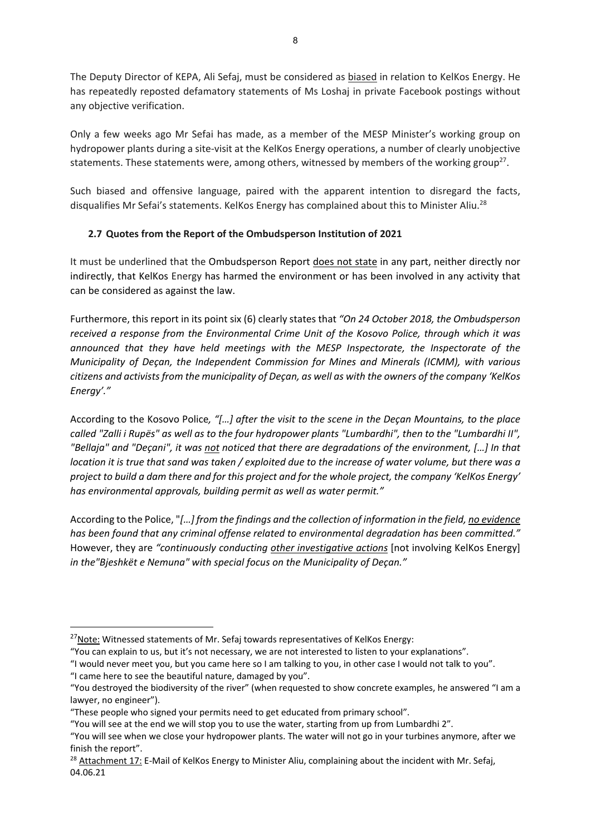The Deputy Director of KEPA, Ali Sefaj, must be considered as biased in relation to KelKos Energy. He has repeatedly reposted defamatory statements of Ms Loshaj in private Facebook postings without any objective verification.

Only a few weeks ago Mr Sefai has made, as a member of the MESP Minister's working group on hydropower plants during a site‐visit at the KelKos Energy operations, a number of clearly unobjective statements. These statements were, among others, witnessed by members of the working group<sup>27</sup>.

Such biased and offensive language, paired with the apparent intention to disregard the facts, disqualifies Mr Sefai's statements. KelKos Energy has complained about this to Minister Aliu.<sup>28</sup>

# **2.7 Quotes from the Report of the Ombudsperson Institution of 2021**

It must be underlined that the Ombudsperson Report does not state in any part, neither directly nor indirectly, that KelKos Energy has harmed the environment or has been involved in any activity that can be considered as against the law.

Furthermore, this report in its point six (6) clearly states that *"On 24 October 2018, the Ombudsperson received a response from the Environmental Crime Unit of the Kosovo Police, through which it was announced that they have held meetings with the MESP Inspectorate, the Inspectorate of the Municipality of Deçan, the Independent Commission for Mines and Minerals (ICMM), with various citizens and activistsfrom the municipality of Deçan, as well as with the owners of the company 'KelKos Energy'."*

According to the Kosovo Police*, "[…] after the visit to the scene in the Deçan Mountains, to the place* called "Zalli i Rupës" as well as to the four hydropower plants "Lumbardhi", then to the "Lumbardhi II", *"Bellaja" and "Deçani", it was not noticed that there are degradations of the environment, […] In that* location it is true that sand was taken / exploited due to the increase of water volume, but there was a project to build a dam there and for this project and for the whole project, the company 'KelKos Energy' *has environmental approvals, building permit as well as water permit."*

According to the Police, "*[…] from the findings and the collection of information in the field, no evidence has been found that any criminal offense related to environmental degradation has been committed."* However, they are *"continuously conducting other investigative actions* [not involving KelKos Energy] *in the"Bjeshkët e Nemuna" with special focus on the Municipality of Deçan."*

"I came here to see the beautiful nature, damaged by you".

<sup>&</sup>lt;sup>27</sup>Note: Witnessed statements of Mr. Sefaj towards representatives of KelKos Energy:

<sup>&</sup>quot;You can explain to us, but it's not necessary, we are not interested to listen to your explanations".

<sup>&</sup>quot;I would never meet you, but you came here so I am talking to you, in other case I would not talk to you".

<sup>&</sup>quot;You destroyed the biodiversity of the river" (when requested to show concrete examples, he answered "I am a lawyer, no engineer").

<sup>&</sup>quot;These people who signed your permits need to get educated from primary school".

<sup>&</sup>quot;You will see at the end we will stop you to use the water, starting from up from Lumbardhi 2".

<sup>&</sup>quot;You will see when we close your hydropower plants. The water will not go in your turbines anymore, after we finish the report".

<sup>&</sup>lt;sup>28</sup> Attachment 17: E-Mail of KelKos Energy to Minister Aliu, complaining about the incident with Mr. Sefaj, 04.06.21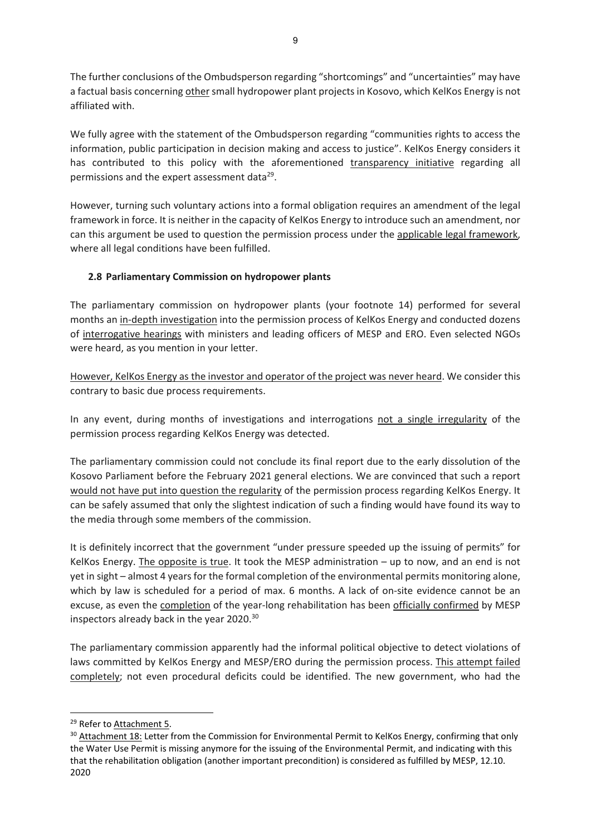The further conclusions of the Ombudsperson regarding "shortcomings" and "uncertainties" may have a factual basis concerning other small hydropower plant projects in Kosovo, which KelKos Energy is not affiliated with.

We fully agree with the statement of the Ombudsperson regarding "communities rights to access the information, public participation in decision making and access to justice". KelKos Energy considers it has contributed to this policy with the aforementioned transparency initiative regarding all permissions and the expert assessment data<sup>29</sup>.

However, turning such voluntary actions into a formal obligation requires an amendment of the legal framework in force. It is neither in the capacity of KelKos Energy to introduce such an amendment, nor can this argument be used to question the permission process under the applicable legal framework, where all legal conditions have been fulfilled.

# **2.8 Parliamentary Commission on hydropower plants**

The parliamentary commission on hydropower plants (your footnote 14) performed for several months an in‐depth investigation into the permission process of KelKos Energy and conducted dozens of interrogative hearings with ministers and leading officers of MESP and ERO. Even selected NGOs were heard, as you mention in your letter.

However, KelKos Energy as the investor and operator of the project was never heard. We consider this contrary to basic due process requirements.

In any event, during months of investigations and interrogations not a single irregularity of the permission process regarding KelKos Energy was detected.

The parliamentary commission could not conclude its final report due to the early dissolution of the Kosovo Parliament before the February 2021 general elections. We are convinced that such a report would not have put into question the regularity of the permission process regarding KelKos Energy. It can be safely assumed that only the slightest indication of such a finding would have found its way to the media through some members of the commission.

It is definitely incorrect that the government "under pressure speeded up the issuing of permits" for KelKos Energy. The opposite is true. It took the MESP administration – up to now, and an end is not yet in sight – almost 4 years for the formal completion of the environmental permits monitoring alone, which by law is scheduled for a period of max. 6 months. A lack of on-site evidence cannot be an excuse, as even the completion of the year-long rehabilitation has been officially confirmed by MESP inspectors already back in the year 2020.30

The parliamentary commission apparently had the informal political objective to detect violations of laws committed by KelKos Energy and MESP/ERO during the permission process. This attempt failed completely; not even procedural deficits could be identified. The new government, who had the

<sup>&</sup>lt;sup>29</sup> Refer to Attachment 5.

<sup>&</sup>lt;sup>30</sup> Attachment 18: Letter from the Commission for Environmental Permit to KelKos Energy, confirming that only the Water Use Permit is missing anymore for the issuing of the Environmental Permit, and indicating with this that the rehabilitation obligation (another important precondition) is considered as fulfilled by MESP, 12.10. 2020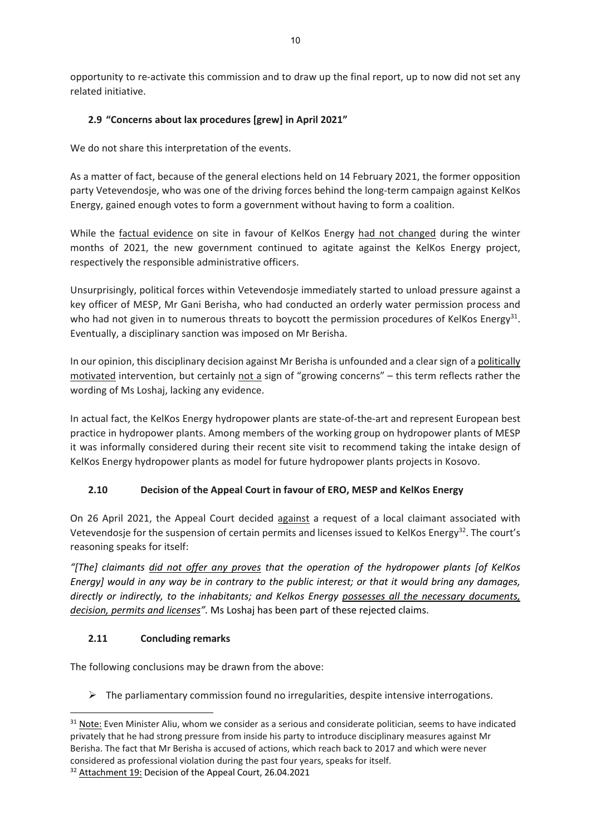opportunity to re‐activate this commission and to draw up the final report, up to now did not set any related initiative.

# **2.9 "Concerns about lax procedures [grew] in April 2021"**

We do not share this interpretation of the events.

As a matter of fact, because of the general elections held on 14 February 2021, the former opposition party Vetevendosje, who was one of the driving forces behind the long-term campaign against KelKos Energy, gained enough votes to form a government without having to form a coalition.

While the factual evidence on site in favour of KelKos Energy had not changed during the winter months of 2021, the new government continued to agitate against the KelKos Energy project, respectively the responsible administrative officers.

Unsurprisingly, political forces within Vetevendosje immediately started to unload pressure against a key officer of MESP, Mr Gani Berisha, who had conducted an orderly water permission process and who had not given in to numerous threats to boycott the permission procedures of KelKos Energy<sup>31</sup>. Eventually, a disciplinary sanction was imposed on Mr Berisha.

In our opinion, this disciplinary decision against Mr Berisha is unfounded and a clearsign of a politically motivated intervention, but certainly not a sign of "growing concerns" – this term reflects rather the wording of Ms Loshaj, lacking any evidence.

In actual fact, the KelKos Energy hydropower plants are state‐of‐the‐art and represent European best practice in hydropower plants. Among members of the working group on hydropower plants of MESP it was informally considered during their recent site visit to recommend taking the intake design of KelKos Energy hydropower plants as model for future hydropower plants projects in Kosovo.

# **2.10 Decision of the Appeal Court in favour of ERO, MESP and KelKos Energy**

On 26 April 2021, the Appeal Court decided against a request of a local claimant associated with Vetevendosje for the suspension of certain permits and licenses issued to KelKos Energy<sup>32</sup>. The court's reasoning speaks for itself:

*"[The] claimants did not offer any proves that the operation of the hydropower plants [of KelKos* Energy] would in any way be in contrary to the public interest; or that it would bring any damages, *directly or indirectly, to the inhabitants; and Kelkos Energy possesses all the necessary documents, decision, permits and licenses".* Ms Loshaj has been part of these rejected claims.

# **2.11 Concluding remarks**

The following conclusions may be drawn from the above:

 $\triangleright$  The parliamentary commission found no irregularities, despite intensive interrogations.

<sup>&</sup>lt;sup>31</sup> Note: Even Minister Aliu, whom we consider as a serious and considerate politician, seems to have indicated privately that he had strong pressure from inside his party to introduce disciplinary measures against Mr Berisha. The fact that Mr Berisha is accused of actions, which reach back to 2017 and which were never considered as professional violation during the past four years, speaks for itself.

<sup>&</sup>lt;sup>32</sup> Attachment 19: Decision of the Appeal Court, 26.04.2021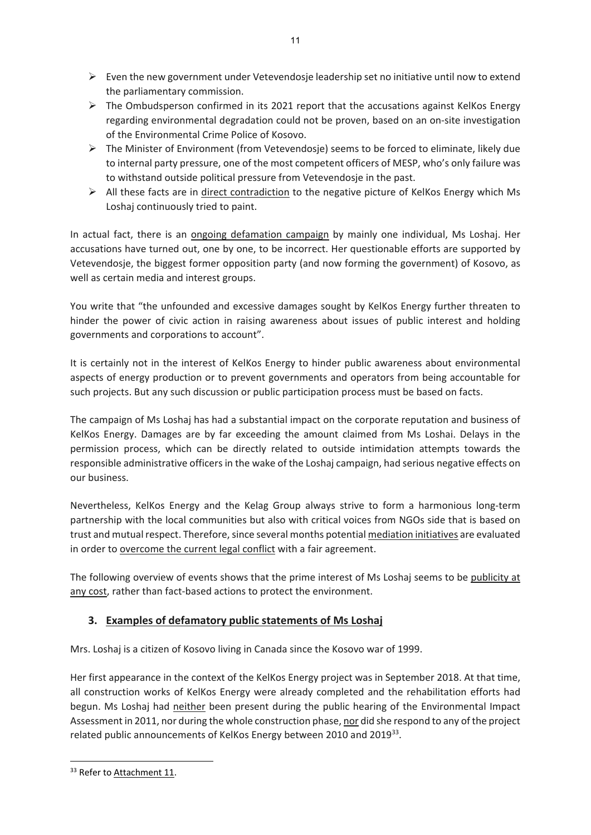$\triangleright$  Even the new government under Vetevendosje leadership set no initiative until now to extend the parliamentary commission.

11

- $\triangleright$  The Ombudsperson confirmed in its 2021 report that the accusations against KelKos Energy regarding environmental degradation could not be proven, based on an on‐site investigation of the Environmental Crime Police of Kosovo.
- $\triangleright$  The Minister of Environment (from Vetevendosie) seems to be forced to eliminate, likely due to internal party pressure, one of the most competent officers of MESP, who's only failure was to withstand outside political pressure from Vetevendosje in the past.
- $\triangleright$  All these facts are in direct contradiction to the negative picture of KelKos Energy which Ms Loshaj continuously tried to paint.

In actual fact, there is an ongoing defamation campaign by mainly one individual, Ms Loshaj. Her accusations have turned out, one by one, to be incorrect. Her questionable efforts are supported by Vetevendosje, the biggest former opposition party (and now forming the government) of Kosovo, as well as certain media and interest groups.

You write that "the unfounded and excessive damages sought by KelKos Energy further threaten to hinder the power of civic action in raising awareness about issues of public interest and holding governments and corporations to account".

It is certainly not in the interest of KelKos Energy to hinder public awareness about environmental aspects of energy production or to prevent governments and operators from being accountable for such projects. But any such discussion or public participation process must be based on facts.

The campaign of Ms Loshaj has had a substantial impact on the corporate reputation and business of KelKos Energy. Damages are by far exceeding the amount claimed from Ms Loshai. Delays in the permission process, which can be directly related to outside intimidation attempts towards the responsible administrative officers in the wake of the Loshaj campaign, had serious negative effects on our business.

Nevertheless, KelKos Energy and the Kelag Group always strive to form a harmonious long‐term partnership with the local communities but also with critical voices from NGOs side that is based on trust and mutual respect. Therefore, since several months potential mediation initiatives are evaluated in order to overcome the current legal conflict with a fair agreement.

The following overview of events shows that the prime interest of Ms Loshaj seems to be publicity at any cost, rather than fact-based actions to protect the environment.

# **3. Examples of defamatory public statements of Ms Loshaj**

Mrs. Loshaj is a citizen of Kosovo living in Canada since the Kosovo war of 1999.

Her first appearance in the context of the KelKos Energy project was in September 2018. At that time, all construction works of KelKos Energy were already completed and the rehabilitation efforts had begun. Ms Loshaj had neither been present during the public hearing of the Environmental Impact Assessment in 2011, nor during the whole construction phase, nor did she respond to any of the project related public announcements of KelKos Energy between 2010 and 2019<sup>33</sup>.

<sup>&</sup>lt;sup>33</sup> Refer to Attachment 11.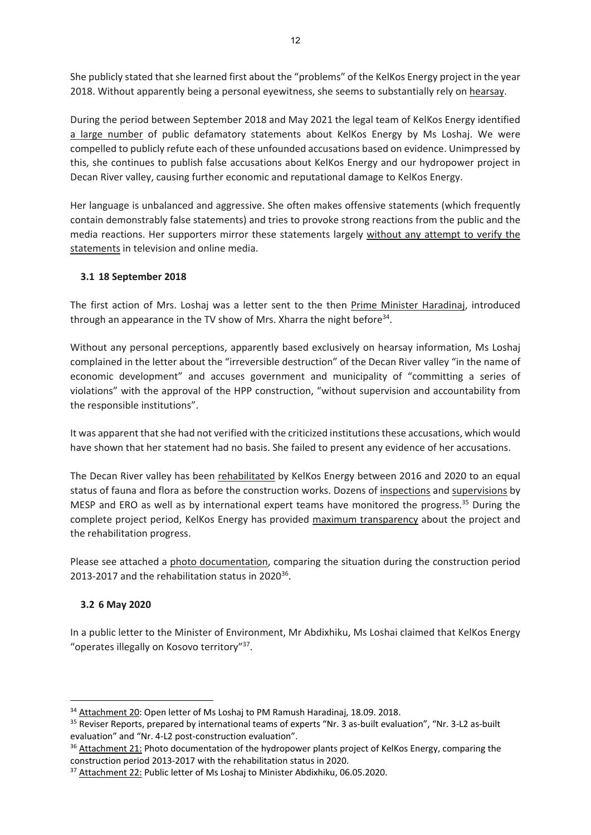She publicly stated that she learned first about the "problems" of the KelKos Energy project in the year 2018. Without apparently being a personal eyewitness, she seems to substantially rely on hearsay.

During the period between September 2018 and May 2021 the legal team of KelKos Energy identified a large number of public defamatory statements about KelKos Energy by Ms Loshaj. We were compelled to publicly refute each of these unfounded accusations based on evidence. Unimpressed by this, she continues to publish false accusations about KelKos Energy and our hydropower project in Decan River valley, causing further economic and reputational damage to KelKos Energy.

Her language is unbalanced and aggressive. She often makes offensive statements (which frequently contain demonstrably false statements) and tries to provoke strong reactions from the public and the media reactions. Her supporters mirror these statements largely without any attempt to verify the statements in television and online media.

# **3.1 18 September 2018**

The first action of Mrs. Loshaj was a letter sent to the then Prime Minister Haradinaj, introduced through an appearance in the TV show of Mrs. Xharra the night before<sup>34</sup>.

Without any personal perceptions, apparently based exclusively on hearsay information, Ms Loshaj complained in the letter about the "irreversible destruction" of the Decan River valley "in the name of economic development" and accuses government and municipality of "committing a series of violations" with the approval of the HPP construction, "without supervision and accountability from the responsible institutions".

It was apparent that she had not verified with the criticized institutions these accusations, which would have shown that her statement had no basis. She failed to present any evidence of her accusations.

The Decan River valley has been rehabilitated by KelKos Energy between 2016 and 2020 to an equal status of fauna and flora as before the construction works. Dozens of inspections and supervisions by MESP and ERO as well as by international expert teams have monitored the progress.<sup>35</sup> During the complete project period, KelKos Energy has provided maximum transparency about the project and the rehabilitation progress.

Please see attached a photo documentation, comparing the situation during the construction period 2013-2017 and the rehabilitation status in 2020<sup>36</sup>.

### **3.2 6 May 2020**

In a public letter to the Minister of Environment, Mr Abdixhiku, Ms Loshai claimed that KelKos Energy "operates illegally on Kosovo territory"37.

<sup>&</sup>lt;sup>34</sup> Attachment 20: Open letter of Ms Loshaj to PM Ramush Haradinaj, 18.09. 2018.

<sup>35</sup> Reviser Reports, prepared by international teams of experts "Nr. 3 as‐built evaluation", "Nr. 3‐L2 as‐built evaluation" and "Nr. 4‐L2 post‐construction evaluation".

<sup>&</sup>lt;sup>36</sup> Attachment 21: Photo documentation of the hydropower plants project of KelKos Energy, comparing the construction period 2013‐2017 with the rehabilitation status in 2020.

<sup>&</sup>lt;sup>37</sup> Attachment 22: Public letter of Ms Loshaj to Minister Abdixhiku, 06.05.2020.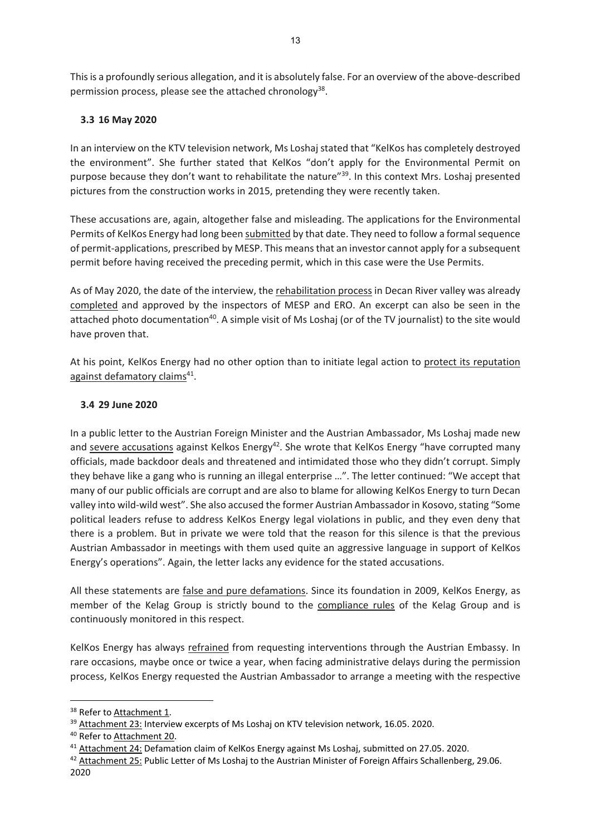Thisis a profoundly serious allegation, and it is absolutely false. For an overview of the above‐described permission process, please see the attached chronology<sup>38</sup>.

# **3.3 16 May 2020**

In an interview on the KTV television network, Ms Loshaj stated that "KelKos has completely destroyed the environment". She further stated that KelKos "don't apply for the Environmental Permit on purpose because they don't want to rehabilitate the nature"<sup>39</sup>. In this context Mrs. Loshaj presented pictures from the construction works in 2015, pretending they were recently taken.

These accusations are, again, altogether false and misleading. The applications for the Environmental Permits of KelKos Energy had long been submitted by that date. They need to follow a formalsequence of permit-applications, prescribed by MESP. This means that an investor cannot apply for a subsequent permit before having received the preceding permit, which in this case were the Use Permits.

As of May 2020, the date of the interview, the rehabilitation process in Decan River valley was already completed and approved by the inspectors of MESP and ERO. An excerpt can also be seen in the attached photo documentation<sup>40</sup>. A simple visit of Ms Loshaj (or of the TV journalist) to the site would have proven that.

At his point, KelKos Energy had no other option than to initiate legal action to protect its reputation against defamatory claims<sup>41</sup>.

### **3.4 29 June 2020**

In a public letter to the Austrian Foreign Minister and the Austrian Ambassador, Ms Loshaj made new and severe accusations against Kelkos Energy<sup>42</sup>. She wrote that KelKos Energy "have corrupted many officials, made backdoor deals and threatened and intimidated those who they didn't corrupt. Simply they behave like a gang who is running an illegal enterprise …". The letter continued: "We accept that many of our public officials are corrupt and are also to blame for allowing KelKos Energy to turn Decan valley into wild-wild west". She also accused the former Austrian Ambassador in Kosovo, stating "Some political leaders refuse to address KelKos Energy legal violations in public, and they even deny that there is a problem. But in private we were told that the reason for this silence is that the previous Austrian Ambassador in meetings with them used quite an aggressive language in support of KelKos Energy's operations". Again, the letter lacks any evidence for the stated accusations.

All these statements are false and pure defamations. Since its foundation in 2009, KelKos Energy, as member of the Kelag Group is strictly bound to the compliance rules of the Kelag Group and is continuously monitored in this respect.

KelKos Energy has always refrained from requesting interventions through the Austrian Embassy. In rare occasions, maybe once or twice a year, when facing administrative delays during the permission process, KelKos Energy requested the Austrian Ambassador to arrange a meeting with the respective

<sup>&</sup>lt;sup>38</sup> Refer to Attachment 1.

<sup>&</sup>lt;sup>39</sup> Attachment 23: Interview excerpts of Ms Loshai on KTV television network, 16.05, 2020.

<sup>&</sup>lt;sup>40</sup> Refer to Attachment 20.

<sup>41</sup> Attachment 24: Defamation claim of KelKos Energy against Ms Loshaj, submitted on 27.05. 2020.

<sup>&</sup>lt;sup>42</sup> Attachment 25: Public Letter of Ms Loshaj to the Austrian Minister of Foreign Affairs Schallenberg, 29.06. 2020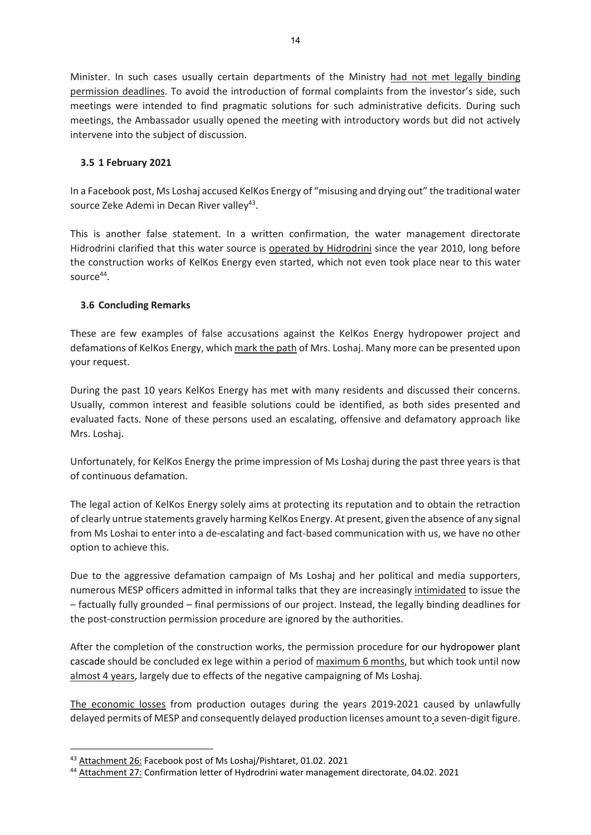Minister. In such cases usually certain departments of the Ministry had not met legally binding permission deadlines. To avoid the introduction of formal complaints from the investor's side, such meetings were intended to find pragmatic solutions for such administrative deficits. During such meetings, the Ambassador usually opened the meeting with introductory words but did not actively intervene into the subject of discussion.

### **3.5 1 February 2021**

In a Facebook post, Ms Loshaj accused KelKos Energy of "misusing and drying out" the traditional water source Zeke Ademi in Decan River valley<sup>43</sup>.

This is another false statement. In a written confirmation, the water management directorate Hidrodrini clarified that this water source is operated by Hidrodrini since the year 2010, long before the construction works of KelKos Energy even started, which not even took place near to this water source $44$ .

### **3.6 Concluding Remarks**

These are few examples of false accusations against the KelKos Energy hydropower project and defamations of KelKos Energy, which mark the path of Mrs. Loshaj. Many more can be presented upon your request.

During the past 10 years KelKos Energy has met with many residents and discussed their concerns. Usually, common interest and feasible solutions could be identified, as both sides presented and evaluated facts. None of these persons used an escalating, offensive and defamatory approach like Mrs. Loshaj.

Unfortunately, for KelKos Energy the prime impression of Ms Loshaj during the past three years is that of continuous defamation.

The legal action of KelKos Energy solely aims at protecting its reputation and to obtain the retraction of clearly untrue statements gravely harming KelKos Energy. At present, given the absence of any signal from Ms Loshai to enter into a de-escalating and fact-based communication with us, we have no other option to achieve this.

Due to the aggressive defamation campaign of Ms Loshaj and her political and media supporters, numerous MESP officers admitted in informal talks that they are increasingly intimidated to issue the – factually fully grounded – final permissions of our project. Instead, the legally binding deadlines for the post-construction permission procedure are ignored by the authorities.

After the completion of the construction works, the permission procedure for our hydropower plant cascade should be concluded ex lege within a period of maximum 6 months, but which took until now almost 4 years, largely due to effects of the negative campaigning of Ms Loshaj.

The economic losses from production outages during the years 2019-2021 caused by unlawfully delayed permits of MESP and consequently delayed production licenses amount to a seven-digit figure.

<sup>43</sup> Attachment 26: Facebook post of Ms Loshaj/Pishtaret, 01.02. 2021

<sup>&</sup>lt;sup>44</sup> Attachment 27: Confirmation letter of Hydrodrini water management directorate, 04.02. 2021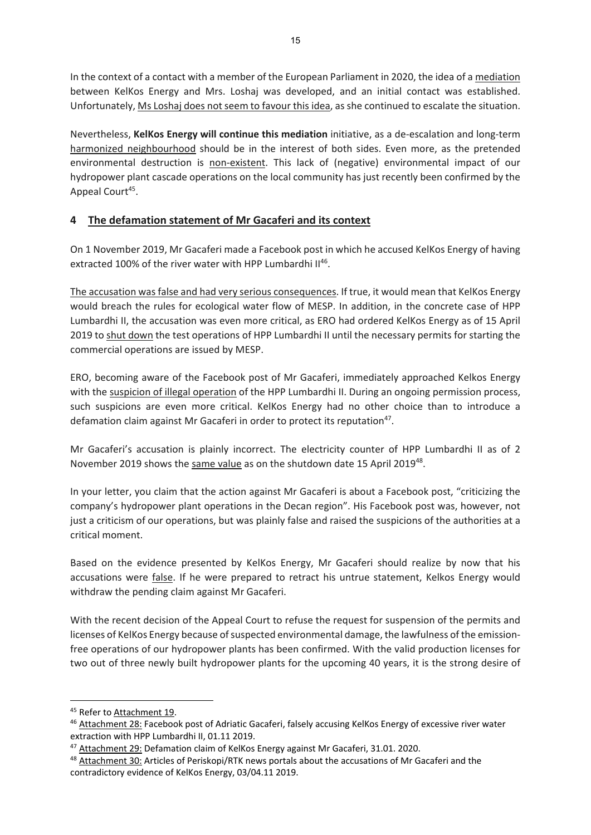In the context of a contact with a member of the European Parliament in 2020, the idea of a mediation between KelKos Energy and Mrs. Loshaj was developed, and an initial contact was established. Unfortunately, Ms Loshaj does not seem to favour this idea, as she continued to escalate the situation.

Nevertheless, **KelKos Energy will continue this mediation** initiative, as a de‐escalation and long‐term harmonized neighbourhood should be in the interest of both sides. Even more, as the pretended environmental destruction is non-existent. This lack of (negative) environmental impact of our hydropower plant cascade operations on the local community has just recently been confirmed by the Appeal Court<sup>45</sup>.

# **4 The defamation statement of Mr Gacaferi and its context**

On 1 November 2019, Mr Gacaferi made a Facebook post in which he accused KelKos Energy of having extracted 100% of the river water with HPP Lumbardhi II<sup>46</sup>.

The accusation was false and had very serious consequences. If true, it would mean that KelKos Energy would breach the rules for ecological water flow of MESP. In addition, in the concrete case of HPP Lumbardhi II, the accusation was even more critical, as ERO had ordered KelKos Energy as of 15 April 2019 to shut down the test operations of HPP Lumbardhi II until the necessary permits for starting the commercial operations are issued by MESP.

ERO, becoming aware of the Facebook post of Mr Gacaferi, immediately approached Kelkos Energy with the suspicion of illegal operation of the HPP Lumbardhi II. During an ongoing permission process, such suspicions are even more critical. KelKos Energy had no other choice than to introduce a defamation claim against Mr Gacaferi in order to protect its reputation<sup>47</sup>.

Mr Gacaferi's accusation is plainly incorrect. The electricity counter of HPP Lumbardhi II as of 2 November 2019 shows the same value as on the shutdown date 15 April 201948.

In your letter, you claim that the action against Mr Gacaferi is about a Facebook post, "criticizing the company's hydropower plant operations in the Decan region". His Facebook post was, however, not just a criticism of our operations, but was plainly false and raised the suspicions of the authorities at a critical moment.

Based on the evidence presented by KelKos Energy, Mr Gacaferi should realize by now that his accusations were false. If he were prepared to retract his untrue statement, Kelkos Energy would withdraw the pending claim against Mr Gacaferi.

With the recent decision of the Appeal Court to refuse the request for suspension of the permits and licenses of KelKos Energy because of suspected environmental damage, the lawfulness of the emissionfree operations of our hydropower plants has been confirmed. With the valid production licenses for two out of three newly built hydropower plants for the upcoming 40 years, it is the strong desire of

<sup>&</sup>lt;sup>45</sup> Refer to Attachment 19.

<sup>46</sup> Attachment 28: Facebook post of Adriatic Gacaferi, falsely accusing KelKos Energy of excessive river water extraction with HPP Lumbardhi II, 01.11 2019.

<sup>47</sup> Attachment 29: Defamation claim of KelKos Energy against Mr Gacaferi, 31.01. 2020.

<sup>&</sup>lt;sup>48</sup> Attachment 30: Articles of Periskopi/RTK news portals about the accusations of Mr Gacaferi and the contradictory evidence of KelKos Energy, 03/04.11 2019.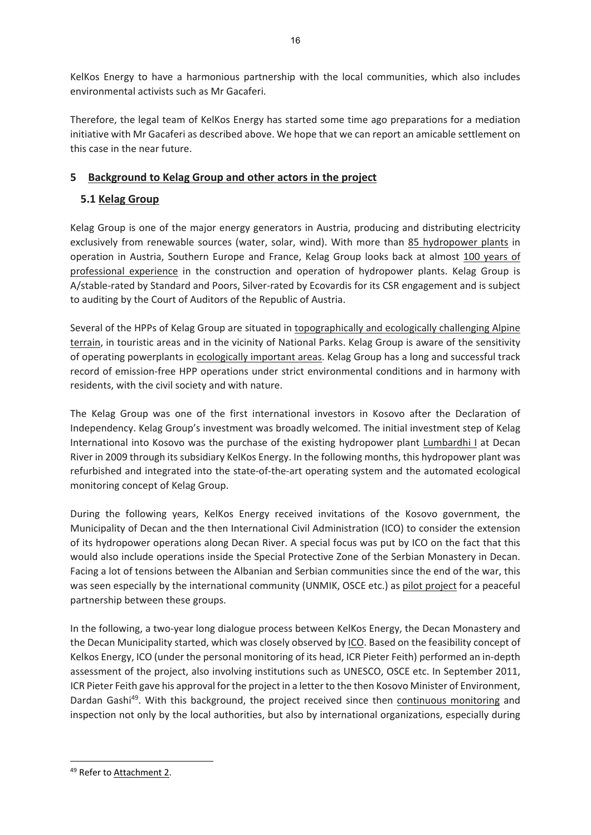KelKos Energy to have a harmonious partnership with the local communities, which also includes environmental activists such as Mr Gacaferi.

Therefore, the legal team of KelKos Energy has started some time ago preparations for a mediation initiative with Mr Gacaferi as described above. We hope that we can report an amicable settlement on this case in the near future.

# **5 Background to Kelag Group and other actors in the project**

# **5.1 Kelag Group**

Kelag Group is one of the major energy generators in Austria, producing and distributing electricity exclusively from renewable sources (water, solar, wind). With more than 85 hydropower plants in operation in Austria, Southern Europe and France, Kelag Group looks back at almost 100 years of professional experience in the construction and operation of hydropower plants. Kelag Group is A/stable‐rated by Standard and Poors, Silver‐rated by Ecovardis for its CSR engagement and is subject to auditing by the Court of Auditors of the Republic of Austria.

Several of the HPPs of Kelag Group are situated in topographically and ecologically challenging Alpine terrain, in touristic areas and in the vicinity of National Parks. Kelag Group is aware of the sensitivity of operating powerplants in ecologically important areas. Kelag Group has a long and successful track record of emission‐free HPP operations under strict environmental conditions and in harmony with residents, with the civil society and with nature.

The Kelag Group was one of the first international investors in Kosovo after the Declaration of Independency. Kelag Group's investment was broadly welcomed. The initial investment step of Kelag International into Kosovo was the purchase of the existing hydropower plant Lumbardhi I at Decan River in 2009 through its subsidiary KelKos Energy. In the following months, this hydropower plant was refurbished and integrated into the state‐of‐the‐art operating system and the automated ecological monitoring concept of Kelag Group.

During the following years, KelKos Energy received invitations of the Kosovo government, the Municipality of Decan and the then International Civil Administration (ICO) to consider the extension of its hydropower operations along Decan River. A special focus was put by ICO on the fact that this would also include operations inside the Special Protective Zone of the Serbian Monastery in Decan. Facing a lot of tensions between the Albanian and Serbian communities since the end of the war, this was seen especially by the international community (UNMIK, OSCE etc.) as pilot project for a peaceful partnership between these groups.

In the following, a two-year long dialogue process between KelKos Energy, the Decan Monastery and the Decan Municipality started, which was closely observed by ICO. Based on the feasibility concept of Kelkos Energy, ICO (under the personal monitoring of its head, ICR Pieter Feith) performed an in‐depth assessment of the project, also involving institutions such as UNESCO, OSCE etc. In September 2011, ICR Pieter Feith gave his approval for the project in a letter to the then Kosovo Minister of Environment, Dardan Gashi<sup>49</sup>. With this background, the project received since then continuous monitoring and inspection not only by the local authorities, but also by international organizations, especially during

<sup>49</sup> Refer to Attachment 2.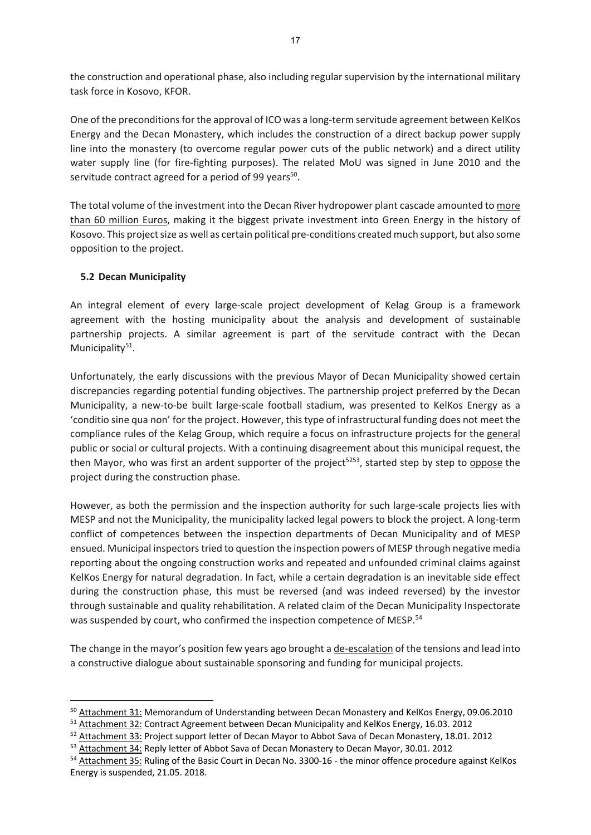the construction and operational phase, also including regularsupervision by the international military task force in Kosovo, KFOR.

One of the preconditions for the approval of ICO was a long-term servitude agreement between KelKos Energy and the Decan Monastery, which includes the construction of a direct backup power supply line into the monastery (to overcome regular power cuts of the public network) and a direct utility water supply line (for fire-fighting purposes). The related MoU was signed in June 2010 and the servitude contract agreed for a period of 99 years<sup>50</sup>.

The total volume of the investment into the Decan River hydropower plant cascade amounted to more than 60 million Euros, making it the biggest private investment into Green Energy in the history of Kosovo. This project size as well as certain political pre-conditions created much support, but also some opposition to the project.

### **5.2 Decan Municipality**

An integral element of every large‐scale project development of Kelag Group is a framework agreement with the hosting municipality about the analysis and development of sustainable partnership projects. A similar agreement is part of the servitude contract with the Decan Municipality<sup>51</sup>.

Unfortunately, the early discussions with the previous Mayor of Decan Municipality showed certain discrepancies regarding potential funding objectives. The partnership project preferred by the Decan Municipality, a new‐to‐be built large‐scale football stadium, was presented to KelKos Energy as a 'conditio sine qua non' for the project. However, this type of infrastructural funding does not meet the compliance rules of the Kelag Group, which require a focus on infrastructure projects for the general public or social or cultural projects. With a continuing disagreement about this municipal request, the then Mayor, who was first an ardent supporter of the project<sup>5253</sup>, started step by step to oppose the project during the construction phase.

However, as both the permission and the inspection authority for such large‐scale projects lies with MESP and not the Municipality, the municipality lacked legal powers to block the project. A long‐term conflict of competences between the inspection departments of Decan Municipality and of MESP ensued. Municipal inspectors tried to question the inspection powers of MESP through negative media reporting about the ongoing construction works and repeated and unfounded criminal claims against KelKos Energy for natural degradation. In fact, while a certain degradation is an inevitable side effect during the construction phase, this must be reversed (and was indeed reversed) by the investor through sustainable and quality rehabilitation. A related claim of the Decan Municipality Inspectorate was suspended by court, who confirmed the inspection competence of MESP.<sup>54</sup>

The change in the mayor's position few years ago brought a de‐escalation of the tensions and lead into a constructive dialogue about sustainable sponsoring and funding for municipal projects.

<sup>50</sup> Attachment 31: Memorandum of Understanding between Decan Monastery and KelKos Energy, 09.06.2010

<sup>&</sup>lt;sup>51</sup> Attachment 32: Contract Agreement between Decan Municipality and KelKos Energy, 16.03. 2012

<sup>52</sup> Attachment 33: Project support letter of Decan Mayor to Abbot Sava of Decan Monastery, 18.01. 2012

<sup>53</sup> Attachment 34: Reply letter of Abbot Sava of Decan Monastery to Decan Mayor, 30.01. 2012

<sup>54</sup> Attachment 35: Ruling of the Basic Court in Decan No. 3300-16 - the minor offence procedure against KelKos Energy is suspended, 21.05. 2018.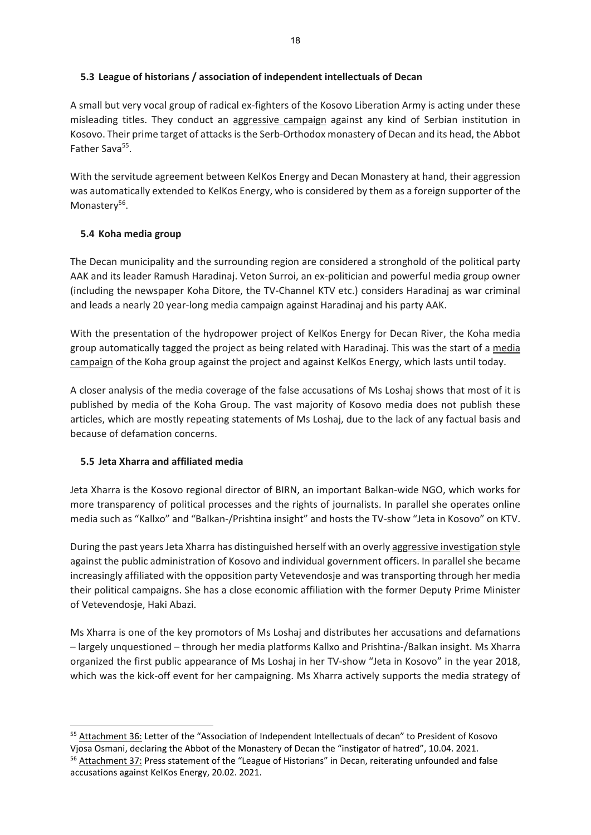# **5.3 League of historians / association of independent intellectuals of Decan**

A small but very vocal group of radical ex‐fighters of the Kosovo Liberation Army is acting under these misleading titles. They conduct an aggressive campaign against any kind of Serbian institution in Kosovo. Their prime target of attacks is the Serb-Orthodox monastery of Decan and its head, the Abbot Father Sava<sup>55</sup>.

With the servitude agreement between KelKos Energy and Decan Monastery at hand, their aggression was automatically extended to KelKos Energy, who is considered by them as a foreign supporter of the Monastery<sup>56</sup>.

# **5.4 Koha media group**

The Decan municipality and the surrounding region are considered a stronghold of the political party AAK and its leader Ramush Haradinaj. Veton Surroi, an ex‐politician and powerful media group owner (including the newspaper Koha Ditore, the TV‐Channel KTV etc.) considers Haradinaj as war criminal and leads a nearly 20 year‐long media campaign against Haradinaj and his party AAK.

With the presentation of the hydropower project of KelKos Energy for Decan River, the Koha media group automatically tagged the project as being related with Haradinaj. This was the start of a media campaign of the Koha group against the project and against KelKos Energy, which lasts until today.

A closer analysis of the media coverage of the false accusations of Ms Loshaj shows that most of it is published by media of the Koha Group. The vast majority of Kosovo media does not publish these articles, which are mostly repeating statements of Ms Loshaj, due to the lack of any factual basis and because of defamation concerns.

### **5.5 Jeta Xharra and affiliated media**

Jeta Xharra is the Kosovo regional director of BIRN, an important Balkan‐wide NGO, which works for more transparency of political processes and the rights of journalists. In parallel she operates online media such as "Kallxo" and "Balkan‐/Prishtina insight" and hosts the TV‐show "Jeta in Kosovo" on KTV.

During the past years Jeta Xharra has distinguished herself with an overly aggressive investigation style against the public administration of Kosovo and individual government officers. In parallel she became increasingly affiliated with the opposition party Vetevendosje and was transporting through her media their political campaigns. She has a close economic affiliation with the former Deputy Prime Minister of Vetevendosje, Haki Abazi.

Ms Xharra is one of the key promotors of Ms Loshaj and distributes her accusations and defamations – largely unquestioned – through her media platforms Kallxo and Prishtina‐/Balkan insight. Ms Xharra organized the first public appearance of Ms Loshaj in her TV‐show "Jeta in Kosovo" in the year 2018, which was the kick-off event for her campaigning. Ms Xharra actively supports the media strategy of

<sup>55</sup> Attachment 36: Letter of the "Association of Independent Intellectuals of decan" to President of Kosovo Vjosa Osmani, declaring the Abbot of the Monastery of Decan the "instigator of hatred", 10.04. 2021. <sup>56</sup> Attachment 37: Press statement of the "League of Historians" in Decan, reiterating unfounded and false accusations against KelKos Energy, 20.02. 2021.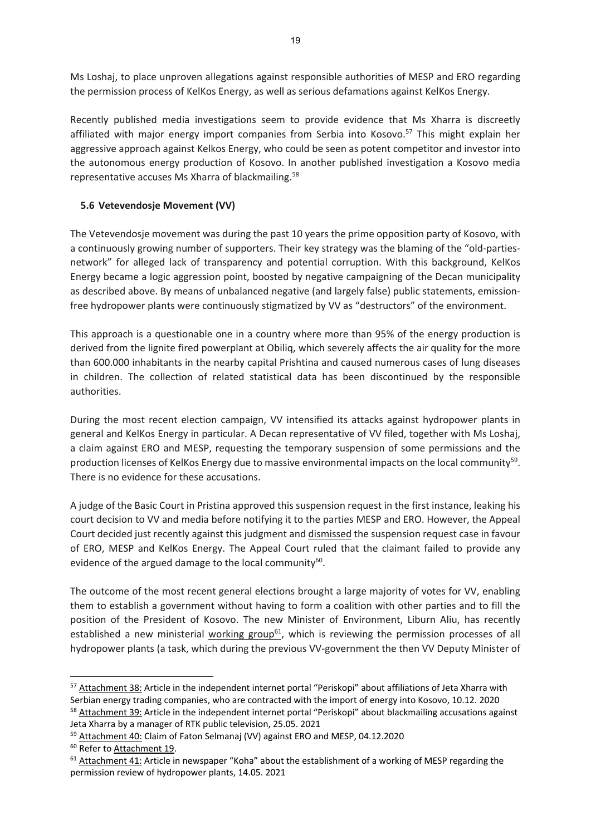Ms Loshaj, to place unproven allegations against responsible authorities of MESP and ERO regarding the permission process of KelKos Energy, as well as serious defamations against KelKos Energy.

Recently published media investigations seem to provide evidence that Ms Xharra is discreetly affiliated with major energy import companies from Serbia into Kosovo.<sup>57</sup> This might explain her aggressive approach against Kelkos Energy, who could be seen as potent competitor and investor into the autonomous energy production of Kosovo. In another published investigation a Kosovo media representative accuses Ms Xharra of blackmailing.58

### **5.6 Vetevendosje Movement (VV)**

The Vetevendosje movement was during the past 10 years the prime opposition party of Kosovo, with a continuously growing number of supporters. Their key strategy was the blaming of the "old-partiesnetwork" for alleged lack of transparency and potential corruption. With this background, KelKos Energy became a logic aggression point, boosted by negative campaigning of the Decan municipality as described above. By means of unbalanced negative (and largely false) public statements, emissionfree hydropower plants were continuously stigmatized by VV as "destructors" of the environment.

This approach is a questionable one in a country where more than 95% of the energy production is derived from the lignite fired powerplant at Obiliq, which severely affects the air quality for the more than 600.000 inhabitants in the nearby capital Prishtina and caused numerous cases of lung diseases in children. The collection of related statistical data has been discontinued by the responsible authorities.

During the most recent election campaign, VV intensified its attacks against hydropower plants in general and KelKos Energy in particular. A Decan representative of VV filed, together with Ms Loshaj, a claim against ERO and MESP, requesting the temporary suspension of some permissions and the production licenses of KelKos Energy due to massive environmental impacts on the local community<sup>59</sup>. There is no evidence for these accusations.

A judge of the Basic Court in Pristina approved this suspension request in the first instance, leaking his court decision to VV and media before notifying it to the parties MESP and ERO. However, the Appeal Court decided just recently against this judgment and dismissed the suspension request case in favour of ERO, MESP and KelKos Energy. The Appeal Court ruled that the claimant failed to provide any evidence of the argued damage to the local community<sup>60</sup>.

The outcome of the most recent general elections brought a large majority of votes for VV, enabling them to establish a government without having to form a coalition with other parties and to fill the position of the President of Kosovo. The new Minister of Environment, Liburn Aliu, has recently established a new ministerial working group<sup>61</sup>, which is reviewing the permission processes of all hydropower plants (a task, which during the previous VV‐government the then VV Deputy Minister of

<sup>57</sup> Attachment 38: Article in the independent internet portal "Periskopi" about affiliations of Jeta Xharra with Serbian energy trading companies, who are contracted with the import of energy into Kosovo, 10.12. 2020 <sup>58</sup> Attachment 39: Article in the independent internet portal "Periskopi" about blackmailing accusations against Jeta Xharra by a manager of RTK public television, 25.05. 2021

<sup>&</sup>lt;sup>59</sup> Attachment 40: Claim of Faton Selmanaj (VV) against ERO and MESP, 04.12.2020

<sup>60</sup> Refer to Attachment 19.

 $61$  Attachment 41: Article in newspaper "Koha" about the establishment of a working of MESP regarding the permission review of hydropower plants, 14.05. 2021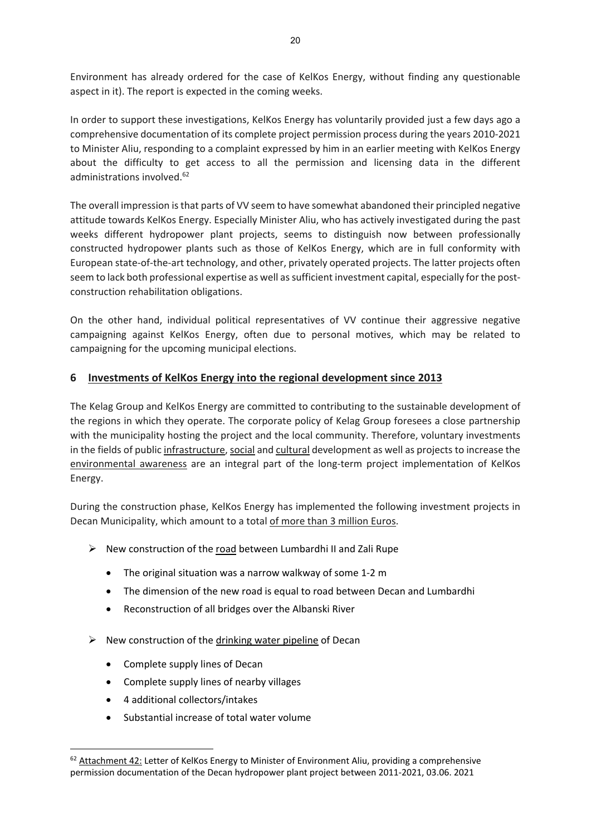Environment has already ordered for the case of KelKos Energy, without finding any questionable aspect in it). The report is expected in the coming weeks.

In order to support these investigations, KelKos Energy has voluntarily provided just a few days ago a comprehensive documentation of its complete project permission process during the years 2010‐2021 to Minister Aliu, responding to a complaint expressed by him in an earlier meeting with KelKos Energy about the difficulty to get access to all the permission and licensing data in the different administrations involved.<sup>62</sup>

The overall impression isthat parts of VV seem to have somewhat abandoned their principled negative attitude towards KelKos Energy. Especially Minister Aliu, who has actively investigated during the past weeks different hydropower plant projects, seems to distinguish now between professionally constructed hydropower plants such as those of KelKos Energy, which are in full conformity with European state‐of‐the‐art technology, and other, privately operated projects. The latter projects often seem to lack both professional expertise as well as sufficient investment capital, especially for the postconstruction rehabilitation obligations.

On the other hand, individual political representatives of VV continue their aggressive negative campaigning against KelKos Energy, often due to personal motives, which may be related to campaigning for the upcoming municipal elections.

# **6 Investments of KelKos Energy into the regional development since 2013**

The Kelag Group and KelKos Energy are committed to contributing to the sustainable development of the regions in which they operate. The corporate policy of Kelag Group foresees a close partnership with the municipality hosting the project and the local community. Therefore, voluntary investments in the fields of public infrastructure, social and cultural development as well as projects to increase the environmental awareness are an integral part of the long-term project implementation of KelKos Energy.

During the construction phase, KelKos Energy has implemented the following investment projects in Decan Municipality, which amount to a total of more than 3 million Euros.

- $\triangleright$  New construction of the road between Lumbardhi II and Zali Rupe
	- The original situation was a narrow walkway of some 1‐2 m
	- The dimension of the new road is equal to road between Decan and Lumbardhi
	- Reconstruction of all bridges over the Albanski River
- $\triangleright$  New construction of the drinking water pipeline of Decan
	- Complete supply lines of Decan
	- Complete supply lines of nearby villages
	- 4 additional collectors/intakes
	- Substantial increase of total water volume

 $62$  Attachment 42: Letter of KelKos Energy to Minister of Environment Aliu, providing a comprehensive permission documentation of the Decan hydropower plant project between 2011‐2021, 03.06. 2021